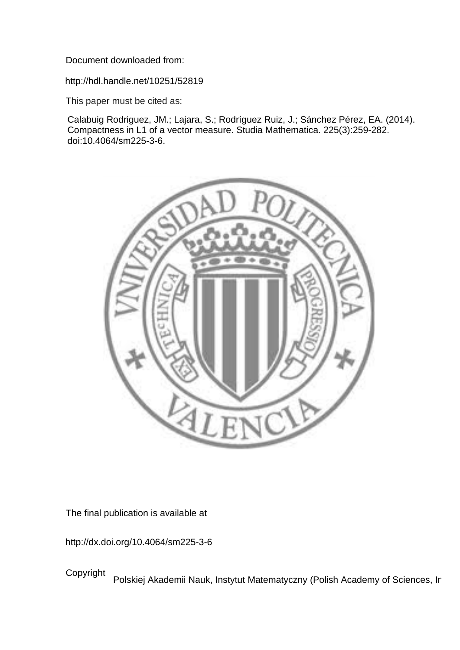Document downloaded from:

http://hdl.handle.net/10251/52819

This paper must be cited as:

Calabuig Rodriguez, JM.; Lajara, S.; Rodríguez Ruiz, J.; Sánchez Pérez, EA. (2014). Compactness in L1 of a vector measure. Studia Mathematica. 225(3):259-282. doi:10.4064/sm225-3-6.



The final publication is available at

http://dx.doi.org/10.4064/sm225-3-6

Copyright Polskiej Akademii Nauk, Instytut Matematyczny (Polish Academy of Sciences, Ir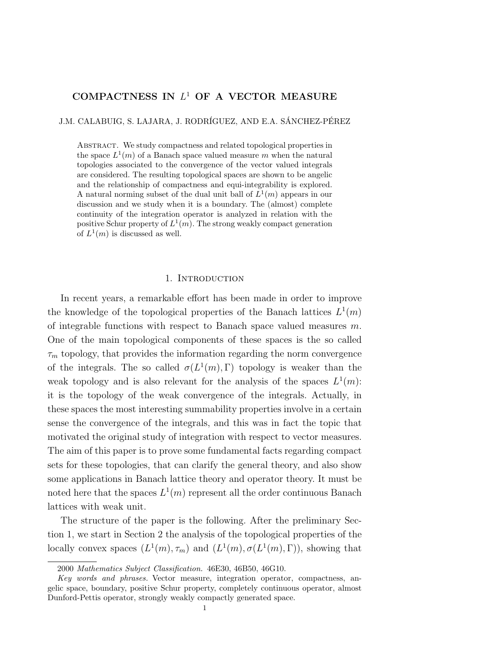## COMPACTNESS IN  $L^1$  OF A VECTOR MEASURE

J.M. CALABUIG, S. LAJARA, J. RODRÍGUEZ, AND E.A. SÁNCHEZ-PÉREZ

ABSTRACT. We study compactness and related topological properties in the space  $L^1(m)$  of a Banach space valued measure m when the natural topologies associated to the convergence of the vector valued integrals are considered. The resulting topological spaces are shown to be angelic and the relationship of compactness and equi-integrability is explored. A natural norming subset of the dual unit ball of  $L^1(m)$  appears in our discussion and we study when it is a boundary. The (almost) complete continuity of the integration operator is analyzed in relation with the positive Schur property of  $L^1(m)$ . The strong weakly compact generation of  $L^1(m)$  is discussed as well.

## 1. Introduction

In recent years, a remarkable effort has been made in order to improve the knowledge of the topological properties of the Banach lattices  $L^1(m)$ of integrable functions with respect to Banach space valued measures  $m$ . One of the main topological components of these spaces is the so called  $\tau_m$  topology, that provides the information regarding the norm convergence of the integrals. The so called  $\sigma(L^1(m), \Gamma)$  topology is weaker than the weak topology and is also relevant for the analysis of the spaces  $L^1(m)$ : it is the topology of the weak convergence of the integrals. Actually, in these spaces the most interesting summability properties involve in a certain sense the convergence of the integrals, and this was in fact the topic that motivated the original study of integration with respect to vector measures. The aim of this paper is to prove some fundamental facts regarding compact sets for these topologies, that can clarify the general theory, and also show some applications in Banach lattice theory and operator theory. It must be noted here that the spaces  $L^1(m)$  represent all the order continuous Banach lattices with weak unit.

The structure of the paper is the following. After the preliminary Section 1, we start in Section 2 the analysis of the topological properties of the locally convex spaces  $(L^1(m), \tau_m)$  and  $(L^1(m), \sigma(L^1(m), \Gamma))$ , showing that

<sup>2000</sup> Mathematics Subject Classification. 46E30, 46B50, 46G10.

Key words and phrases. Vector measure, integration operator, compactness, angelic space, boundary, positive Schur property, completely continuous operator, almost Dunford-Pettis operator, strongly weakly compactly generated space.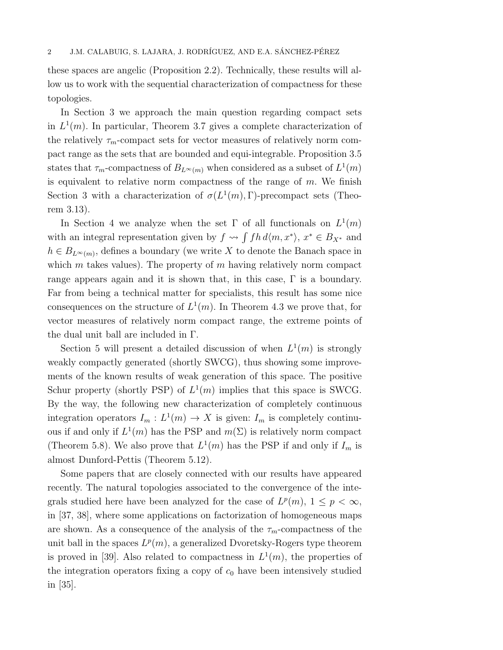these spaces are angelic (Proposition 2.2). Technically, these results will allow us to work with the sequential characterization of compactness for these topologies.

In Section 3 we approach the main question regarding compact sets in  $L^1(m)$ . In particular, Theorem 3.7 gives a complete characterization of the relatively  $\tau_m$ -compact sets for vector measures of relatively norm compact range as the sets that are bounded and equi-integrable. Proposition 3.5 states that  $\tau_m$ -compactness of  $B_{L^{\infty}(m)}$  when considered as a subset of  $L^1(m)$ is equivalent to relative norm compactness of the range of  $m$ . We finish Section 3 with a characterization of  $\sigma(L^1(m), \Gamma)$ -precompact sets (Theorem 3.13).

In Section 4 we analyze when the set  $\Gamma$  of all functionals on  $L^1(m)$ with an integral representation given by  $f \rightsquigarrow \int fh d\langle m, x^* \rangle, x^* \in B_{X^*}$  and  $h \in B_{L^{\infty}(m)}$ , defines a boundary (we write X to denote the Banach space in which  $m$  takes values). The property of  $m$  having relatively norm compact range appears again and it is shown that, in this case, Γ is a boundary. Far from being a technical matter for specialists, this result has some nice consequences on the structure of  $L^1(m)$ . In Theorem 4.3 we prove that, for vector measures of relatively norm compact range, the extreme points of the dual unit ball are included in Γ.

Section 5 will present a detailed discussion of when  $L^1(m)$  is strongly weakly compactly generated (shortly SWCG), thus showing some improvements of the known results of weak generation of this space. The positive Schur property (shortly PSP) of  $L^1(m)$  implies that this space is SWCG. By the way, the following new characterization of completely continuous integration operators  $I_m: L^1(m) \to X$  is given:  $I_m$  is completely continuous if and only if  $L^1(m)$  has the PSP and  $m(\Sigma)$  is relatively norm compact (Theorem 5.8). We also prove that  $L^1(m)$  has the PSP if and only if  $I_m$  is almost Dunford-Pettis (Theorem 5.12).

Some papers that are closely connected with our results have appeared recently. The natural topologies associated to the convergence of the integrals studied here have been analyzed for the case of  $L^p(m)$ ,  $1 \leq p < \infty$ , in [37, 38], where some applications on factorization of homogeneous maps are shown. As a consequence of the analysis of the  $\tau_m$ -compactness of the unit ball in the spaces  $L^p(m)$ , a generalized Dvoretsky-Rogers type theorem is proved in [39]. Also related to compactness in  $L^1(m)$ , the properties of the integration operators fixing a copy of  $c_0$  have been intensively studied in [35].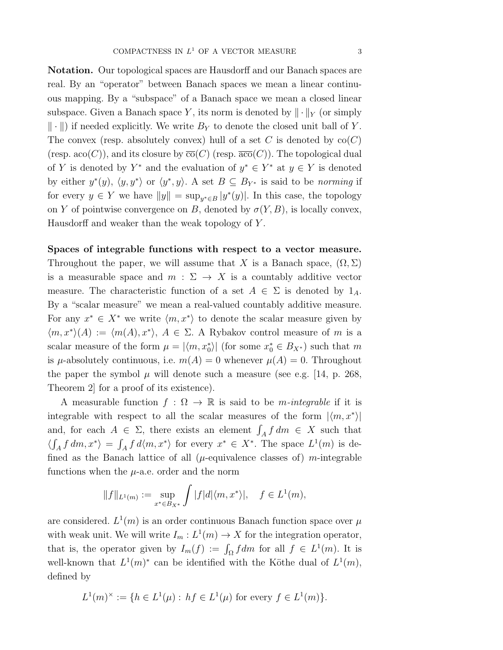Notation. Our topological spaces are Hausdorff and our Banach spaces are real. By an "operator" between Banach spaces we mean a linear continuous mapping. By a "subspace" of a Banach space we mean a closed linear subspace. Given a Banach space Y, its norm is denoted by  $\|\cdot\|_Y$  (or simply  $\|\cdot\|$  if needed explicitly. We write  $B_Y$  to denote the closed unit ball of Y. The convex (resp. absolutely convex) hull of a set C is denoted by  $co(C)$ (resp. aco(C)), and its closure by  $\overline{co}(C)$  (resp.  $\overline{aco}(C)$ ). The topological dual of Y is denoted by  $Y^*$  and the evaluation of  $y^* \in Y^*$  at  $y \in Y$  is denoted by either  $y^*(y)$ ,  $\langle y, y^* \rangle$  or  $\langle y^*, y \rangle$ . A set  $B \subseteq B_{Y^*}$  is said to be norming if for every  $y \in Y$  we have  $||y|| = \sup_{y^* \in B} |y^*(y)|$ . In this case, the topology on Y of pointwise convergence on B, denoted by  $\sigma(Y, B)$ , is locally convex, Hausdorff and weaker than the weak topology of Y .

# Spaces of integrable functions with respect to a vector measure. Throughout the paper, we will assume that X is a Banach space,  $(\Omega, \Sigma)$ is a measurable space and  $m : \Sigma \to X$  is a countably additive vector measure. The characteristic function of a set  $A \in \Sigma$  is denoted by  $1_A$ . By a "scalar measure" we mean a real-valued countably additive measure. For any  $x^* \in X^*$  we write  $\langle m, x^* \rangle$  to denote the scalar measure given by  $\langle m, x^* \rangle (A) := \langle m(A), x^* \rangle, A \in \Sigma$ . A Rybakov control measure of m is a scalar measure of the form  $\mu = |\langle m, x_0^* \rangle|$  (for some  $x_0^* \in B_{X^*}$ ) such that m is  $\mu$ -absolutely continuous, i.e.  $m(A) = 0$  whenever  $\mu(A) = 0$ . Throughout the paper the symbol  $\mu$  will denote such a measure (see e.g. [14, p. 268, Theorem 2] for a proof of its existence).

A measurable function  $f : \Omega \to \mathbb{R}$  is said to be *m-integrable* if it is integrable with respect to all the scalar measures of the form  $|\langle m, x^* \rangle|$ and, for each  $A \in \Sigma$ , there exists an element  $\int_A f dm \in X$  such that  $\langle \int_A f dm, x^* \rangle = \int_A f d\langle m, x^* \rangle$  for every  $x^* \in X^*$ . The space  $L^1(m)$  is defined as the Banach lattice of all ( $\mu$ -equivalence classes of) m-integrable functions when the  $\mu$ -a.e. order and the norm

$$
||f||_{L^1(m)} := \sup_{x^* \in B_{X^*}} \int |f| d|\langle m, x^* \rangle|, \quad f \in L^1(m),
$$

are considered.  $L^1(m)$  is an order continuous Banach function space over  $\mu$ with weak unit. We will write  $I_m: L^1(m) \to X$  for the integration operator, that is, the operator given by  $I_m(f) := \int_{\Omega} f dm$  for all  $f \in L^1(m)$ . It is well-known that  $L^1(m)^*$  can be identified with the Köthe dual of  $L^1(m)$ , defined by

$$
L^1(m)^{\times} := \{ h \in L^1(\mu) : hf \in L^1(\mu) \text{ for every } f \in L^1(m) \}.
$$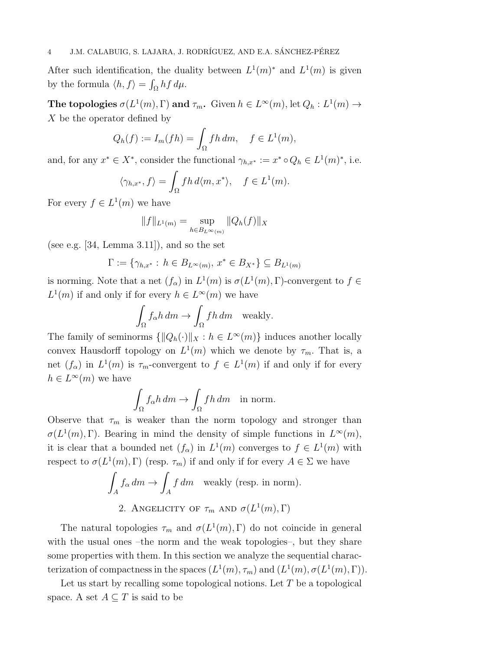After such identification, the duality between  $L^1(m)^*$  and  $L^1(m)$  is given by the formula  $\langle h, f \rangle = \int_{\Omega} h f d\mu$ .

The topologies  $\sigma(L^1(m), \Gamma)$  and  $\tau_m$ . Given  $h \in L^{\infty}(m)$ , let  $Q_h: L^1(m) \to$ X be the operator defined by

$$
Q_h(f) := I_m(fh) = \int_{\Omega} fh \, dm, \quad f \in L^1(m),
$$

and, for any  $x^* \in X^*$ , consider the functional  $\gamma_{h,x^*} := x^* \circ Q_h \in L^1(m)^*$ , i.e.

$$
\langle \gamma_{h,x^*}, f \rangle = \int_{\Omega} f h \, d \langle m, x^* \rangle, \quad f \in L^1(m).
$$

For every  $f \in L^1(m)$  we have

$$
||f||_{L^1(m)} = \sup_{h \in B_{L^{\infty}(m)}} ||Q_h(f)||_X
$$

(see e.g.  $[34, \text{ Lemma } 3.11]$ ), and so the set

$$
\Gamma := \{ \gamma_{h,x^*} : \, h \in B_{L^{\infty}(m)}, \, x^* \in B_{X^*} \} \subseteq B_{L^1(m)}
$$

is norming. Note that a net  $(f_{\alpha})$  in  $L^1(m)$  is  $\sigma(L^1(m), \Gamma)$ -convergent to  $f \in$  $L^1(m)$  if and only if for every  $h \in L^{\infty}(m)$  we have

$$
\int_{\Omega} f_{\alpha} h \, dm \to \int_{\Omega} f h \, dm \quad \text{weakly.}
$$

The family of seminorms  $\{\|Q_h(\cdot)\|_X : h \in L^\infty(m)\}\$  induces another locally convex Hausdorff topology on  $L^1(m)$  which we denote by  $\tau_m$ . That is, a net  $(f_{\alpha})$  in  $L^1(m)$  is  $\tau_m$ -convergent to  $f \in L^1(m)$  if and only if for every  $h \in L^{\infty}(m)$  we have

$$
\int_{\Omega} f_{\alpha} h \, dm \to \int_{\Omega} f h \, dm \quad \text{in norm.}
$$

Observe that  $\tau_m$  is weaker than the norm topology and stronger than  $\sigma(L^1(m), \Gamma)$ . Bearing in mind the density of simple functions in  $L^{\infty}(m)$ , it is clear that a bounded net  $(f_{\alpha})$  in  $L^1(m)$  converges to  $f \in L^1(m)$  with respect to  $\sigma(L^1(m), \Gamma)$  (resp.  $\tau_m$ ) if and only if for every  $A \in \Sigma$  we have

$$
\int_A f_\alpha dm \to \int_A f dm \quad \text{weakly (resp. in norm)}.
$$
  
2. ANGELICITY OF  $\tau_m$  AND  $\sigma(L^1(m), \Gamma)$ 

The natural topologies  $\tau_m$  and  $\sigma(L^1(m), \Gamma)$  do not coincide in general with the usual ones –the norm and the weak topologies–, but they share some properties with them. In this section we analyze the sequential characterization of compactness in the spaces  $(L^1(m), \tau_m)$  and  $(L^1(m), \sigma(L^1(m), \Gamma))$ .

Let us start by recalling some topological notions. Let  $T$  be a topological space. A set  $A \subseteq T$  is said to be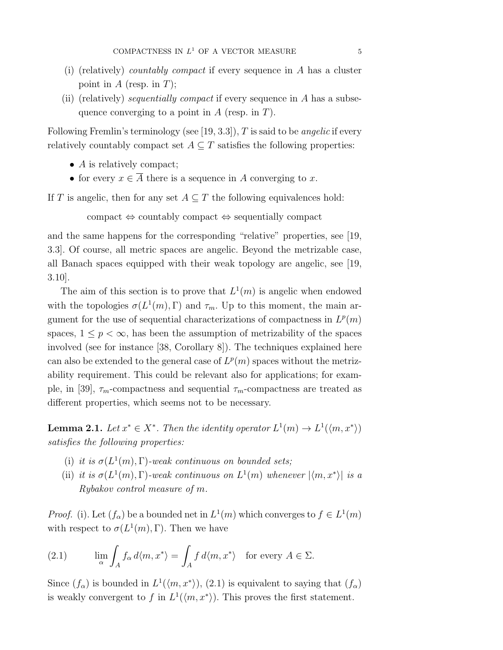- (i) (relatively) countably compact if every sequence in A has a cluster point in  $A$  (resp. in  $T$ );
- (ii) (relatively) sequentially compact if every sequence in  $A$  has a subsequence converging to a point in  $A$  (resp. in  $T$ ).

Following Fremlin's terminology (see [19, 3.3]), T is said to be *angelic* if every relatively countably compact set  $A \subseteq T$  satisfies the following properties:

- A is relatively compact;
- for every  $x \in \overline{A}$  there is a sequence in A converging to x.

If T is angelic, then for any set  $A \subseteq T$  the following equivalences hold:

compact ⇔ countably compact ⇔ sequentially compact

and the same happens for the corresponding "relative" properties, see [19, 3.3]. Of course, all metric spaces are angelic. Beyond the metrizable case, all Banach spaces equipped with their weak topology are angelic, see [19, 3.10].

The aim of this section is to prove that  $L^1(m)$  is angelic when endowed with the topologies  $\sigma(L^1(m), \Gamma)$  and  $\tau_m$ . Up to this moment, the main argument for the use of sequential characterizations of compactness in  $L^p(m)$ spaces,  $1 \leq p < \infty$ , has been the assumption of metrizability of the spaces involved (see for instance [38, Corollary 8]). The techniques explained here can also be extended to the general case of  $L^p(m)$  spaces without the metrizability requirement. This could be relevant also for applications; for example, in [39],  $\tau_m$ -compactness and sequential  $\tau_m$ -compactness are treated as different properties, which seems not to be necessary.

**Lemma 2.1.** Let  $x^* \in X^*$ . Then the identity operator  $L^1(m) \to L^1(\langle m, x^* \rangle)$ satisfies the following properties:

- (i) it is  $\sigma(L^1(m), \Gamma)$ -weak continuous on bounded sets;
- (ii) it is  $\sigma(L^1(m), \Gamma)$ -weak continuous on  $L^1(m)$  whenever  $|\langle m, x^* \rangle|$  is a Rybakov control measure of m.

*Proof.* (i). Let  $(f_{\alpha})$  be a bounded net in  $L^1(m)$  which converges to  $f \in L^1(m)$ with respect to  $\sigma(L^1(m), \Gamma)$ . Then we have

(2.1) 
$$
\lim_{\alpha} \int_{A} f_{\alpha} d\langle m, x^* \rangle = \int_{A} f d\langle m, x^* \rangle \text{ for every } A \in \Sigma.
$$

Since  $(f_{\alpha})$  is bounded in  $L^1(\langle m, x^* \rangle)$ , (2.1) is equivalent to saying that  $(f_{\alpha})$ is weakly convergent to f in  $L^1(\langle m, x^* \rangle)$ . This proves the first statement.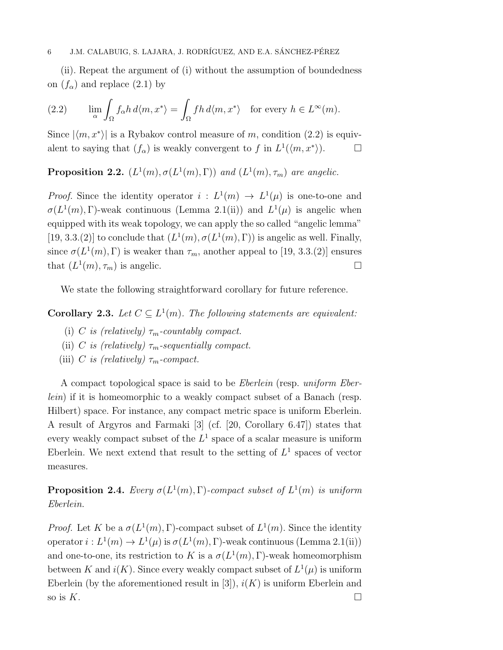(ii). Repeat the argument of (i) without the assumption of boundedness on  $(f_{\alpha})$  and replace  $(2.1)$  by

(2.2) 
$$
\lim_{\alpha} \int_{\Omega} f_{\alpha} h \, d\langle m, x^* \rangle = \int_{\Omega} f h \, d\langle m, x^* \rangle \quad \text{for every } h \in L^{\infty}(m).
$$

Since  $|\langle m, x^* \rangle|$  is a Rybakov control measure of m, condition (2.2) is equivalent to saying that  $(f_{\alpha})$  is weakly convergent to f in  $L^1(\langle m, x^* \rangle)$ .

**Proposition 2.2.**  $(L^1(m), \sigma(L^1(m), \Gamma))$  and  $(L^1(m), \tau_m)$  are angelic.

*Proof.* Since the identity operator  $i: L^1(m) \to L^1(\mu)$  is one-to-one and  $\sigma(L^1(m), \Gamma)$ -weak continuous (Lemma 2.1(ii)) and  $L^1(\mu)$  is angelic when equipped with its weak topology, we can apply the so called "angelic lemma" [19, 3.3.(2)] to conclude that  $(L^1(m), \sigma(L^1(m), \Gamma))$  is angelic as well. Finally, since  $\sigma(L^1(m), \Gamma)$  is weaker than  $\tau_m$ , another appeal to [19, 3.3.(2)] ensures that  $(L^1(m), \tau_m)$  is angelic.

We state the following straightforward corollary for future reference.

**Corollary 2.3.** Let  $C \subseteq L^1(m)$ . The following statements are equivalent:

- (i) C is (relatively)  $\tau_m$ -countably compact.
- (ii) C is (relatively)  $\tau_m$ -sequentially compact.
- (iii) C is (relatively)  $\tau_m$ -compact.

A compact topological space is said to be Eberlein (resp. uniform Eberlein) if it is homeomorphic to a weakly compact subset of a Banach (resp. Hilbert) space. For instance, any compact metric space is uniform Eberlein. A result of Argyros and Farmaki [3] (cf. [20, Corollary 6.47]) states that every weakly compact subset of the  $L^1$  space of a scalar measure is uniform Eberlein. We next extend that result to the setting of  $L^1$  spaces of vector measures.

**Proposition 2.4.** Every  $\sigma(L^1(m), \Gamma)$ -compact subset of  $L^1(m)$  is uniform Eberlein.

*Proof.* Let K be a  $\sigma(L^1(m), \Gamma)$ -compact subset of  $L^1(m)$ . Since the identity operator  $i: L^1(m) \to L^1(\mu)$  is  $\sigma(L^1(m), \Gamma)$ -weak continuous (Lemma 2.1(ii)) and one-to-one, its restriction to K is a  $\sigma(L^1(m), \Gamma)$ -weak homeomorphism between K and  $i(K)$ . Since every weakly compact subset of  $L^1(\mu)$  is uniform Eberlein (by the aforementioned result in [3]),  $i(K)$  is uniform Eberlein and so is  $K$ .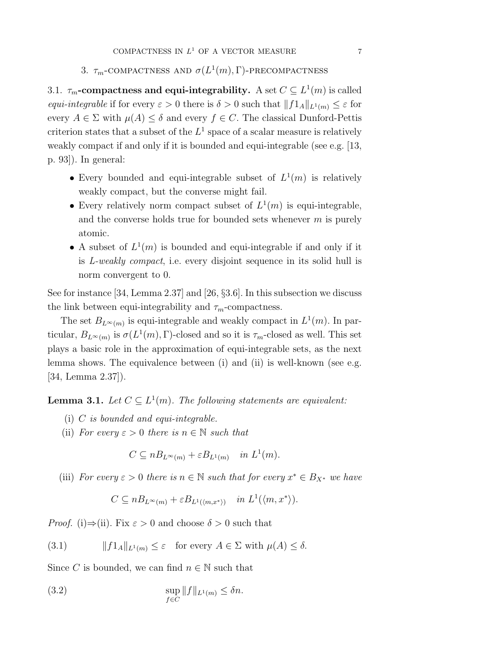# 3.  $\tau_m$ -COMPACTNESS AND  $\sigma(L^1(m),\Gamma)$ -PRECOMPACTNESS

3.1.  $\tau_m$ -compactness and equi-integrability. A set  $C \subseteq L^1(m)$  is called equi-integrable if for every  $\varepsilon > 0$  there is  $\delta > 0$  such that  $||f1_A||_{L^1(m)} \leq \varepsilon$  for every  $A \in \Sigma$  with  $\mu(A) \leq \delta$  and every  $f \in C$ . The classical Dunford-Pettis criterion states that a subset of the  $L^1$  space of a scalar measure is relatively weakly compact if and only if it is bounded and equi-integrable (see e.g. [13, p. 93]). In general:

- Every bounded and equi-integrable subset of  $L^1(m)$  is relatively weakly compact, but the converse might fail.
- Every relatively norm compact subset of  $L^1(m)$  is equi-integrable, and the converse holds true for bounded sets whenever  $m$  is purely atomic.
- A subset of  $L^1(m)$  is bounded and equi-integrable if and only if it is L-weakly compact, i.e. every disjoint sequence in its solid hull is norm convergent to 0.

See for instance [34, Lemma 2.37] and [26, §3.6]. In this subsection we discuss the link between equi-integrability and  $\tau_m$ -compactness.

The set  $B_{L^{\infty}(m)}$  is equi-integrable and weakly compact in  $L^{1}(m)$ . In particular,  $B_{L^{\infty}(m)}$  is  $\sigma(L^1(m), \Gamma)$ -closed and so it is  $\tau_m$ -closed as well. This set plays a basic role in the approximation of equi-integrable sets, as the next lemma shows. The equivalence between (i) and (ii) is well-known (see e.g. [34, Lemma 2.37]).

**Lemma 3.1.** Let  $C \subseteq L^1(m)$ . The following statements are equivalent:

- (i)  $C$  is bounded and equi-integrable.
- (ii) For every  $\varepsilon > 0$  there is  $n \in \mathbb{N}$  such that

 $C \subseteq nB_{L^{\infty}(m)} + \varepsilon B_{L^{1}(m)}$  in  $L^{1}(m)$ .

(iii) For every  $\varepsilon > 0$  there is  $n \in \mathbb{N}$  such that for every  $x^* \in B_{X^*}$  we have

$$
C \subseteq nB_{L^{\infty}(m)} + \varepsilon B_{L^{1}(\langle m, x^{*} \rangle)} \quad in \ L^{1}(\langle m, x^{*} \rangle).
$$

*Proof.* (i) $\Rightarrow$ (ii). Fix  $\varepsilon > 0$  and choose  $\delta > 0$  such that

(3.1)  $||f1_A||_{L^1(m)} \leq \varepsilon$  for every  $A \in \Sigma$  with  $\mu(A) \leq \delta$ .

Since C is bounded, we can find  $n \in \mathbb{N}$  such that

(3.2) 
$$
\sup_{f \in C} ||f||_{L^1(m)} \leq \delta n.
$$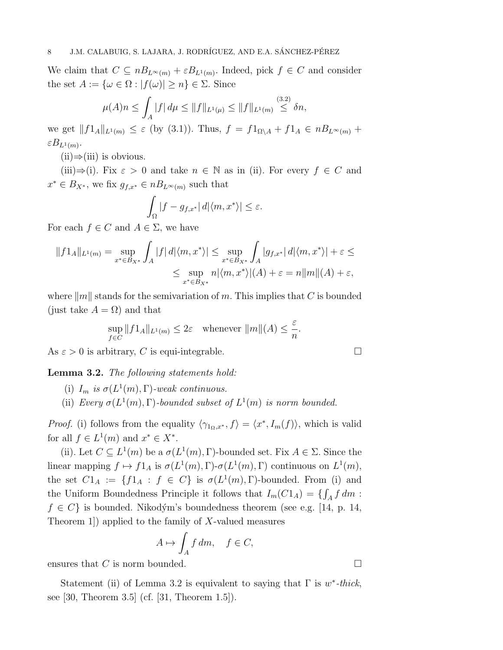We claim that  $C \subseteq nB_{L^{\infty}(m)} + \varepsilon B_{L^{1}(m)}$ . Indeed, pick  $f \in C$  and consider the set  $A := {\omega \in \Omega : |f(\omega)| \geq n} \in \Sigma$ . Since

$$
\mu(A)n \le \int_A |f| \, d\mu \le \|f\|_{L^1(\mu)} \le \|f\|_{L^1(m)} \stackrel{(3.2)}{\le} \delta n,
$$

we get  $||f1_A||_{L^1(m)} \leq \varepsilon$  (by (3.1)). Thus,  $f = f1_{\Omega \setminus A} + f1_A \in nB_{L^{\infty}(m)}$  +  $\varepsilon B_{L^1(m)}$ .

 $(ii) \Rightarrow (iii)$  is obvious.

(iii)⇒(i). Fix  $\varepsilon > 0$  and take  $n \in \mathbb{N}$  as in (ii). For every  $f \in C$  and  $x^* \in B_{X^*}$ , we fix  $g_{f,x^*} \in nB_{L^{\infty}(m)}$  such that

$$
\int_{\Omega} |f - g_{f,x^*}| \, d |\langle m, x^* \rangle| \leq \varepsilon.
$$

For each  $f \in C$  and  $A \in \Sigma$ , we have

$$
||f1_A||_{L^1(m)} = \sup_{x^* \in B_{X^*}} \int_A |f| \, d|\langle m, x^* \rangle| \le \sup_{x^* \in B_{X^*}} \int_A |g_{f,x^*}| \, d|\langle m, x^* \rangle| + \varepsilon \le
$$
  

$$
\le \sup_{x^* \in B_{X^*}} n|\langle m, x^* \rangle| (A) + \varepsilon = n||m||(A) + \varepsilon,
$$

where  $||m||$  stands for the semivariation of m. This implies that C is bounded (just take  $A = \Omega$ ) and that

$$
\sup_{f \in C} ||f1_A||_{L^1(m)} \le 2\varepsilon \quad \text{whenever } ||m||(A) \le \frac{\varepsilon}{n}.
$$

As  $\varepsilon > 0$  is arbitrary, C is equi-integrable.

Lemma 3.2. The following statements hold:

- (i)  $I_m$  is  $\sigma(L^1(m), \Gamma)$ -weak continuous.
- (ii) Every  $\sigma(L^1(m), \Gamma)$ -bounded subset of  $L^1(m)$  is norm bounded.

*Proof.* (i) follows from the equality  $\langle \gamma_{1_{\Omega},x^*}, f \rangle = \langle x^*, I_m(f) \rangle$ , which is valid for all  $f \in L^1(m)$  and  $x^* \in X^*$ .

(ii). Let  $C \subseteq L^1(m)$  be a  $\sigma(L^1(m), \Gamma)$ -bounded set. Fix  $A \in \Sigma$ . Since the linear mapping  $f \mapsto f1_A$  is  $\sigma(L^1(m), \Gamma)$ - $\sigma(L^1(m), \Gamma)$  continuous on  $L^1(m)$ , the set  $Cl_A := \{f1_A : f \in C\}$  is  $\sigma(L^1(m), \Gamma)$ -bounded. From (i) and the Uniform Boundedness Principle it follows that  $I_m(C1_A) = \{ \int_A f \, dm \, :$  $f \in C$  is bounded. Nikodým's boundedness theorem (see e.g. [14, p. 14, Theorem 1) applied to the family of  $X$ -valued measures

$$
A \mapsto \int_A f \, dm, \quad f \in C,
$$

ensures that C is norm bounded.  $\square$ 

Statement (ii) of Lemma 3.2 is equivalent to saying that  $\Gamma$  is w<sup>\*</sup>-thick, see [30, Theorem 3.5] (cf. [31, Theorem 1.5]).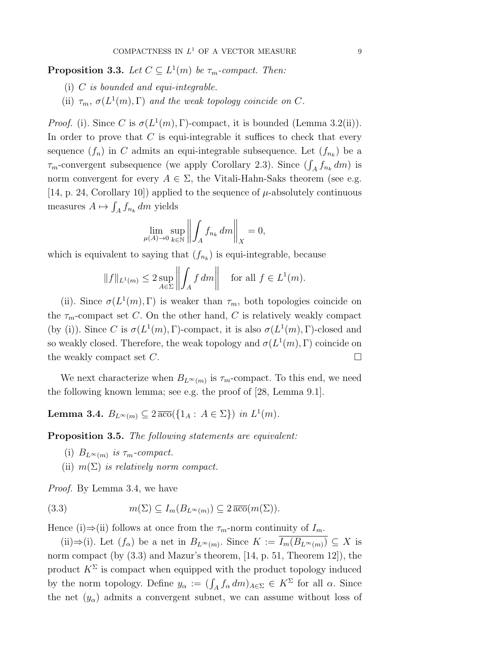**Proposition 3.3.** Let  $C \subseteq L^1(m)$  be  $\tau_m$ -compact. Then:

- (i)  $C$  is bounded and equi-integrable.
- (ii)  $\tau_m$ ,  $\sigma(L^1(m), \Gamma)$  and the weak topology coincide on C.

*Proof.* (i). Since C is  $\sigma(L^1(m), \Gamma)$ -compact, it is bounded (Lemma 3.2(ii)). In order to prove that  $C$  is equi-integrable it suffices to check that every sequence  $(f_n)$  in C admits an equi-integrable subsequence. Let  $(f_{n_k})$  be a  $\tau_m$ -convergent subsequence (we apply Corollary 2.3). Since  $(\int_A f_{n_k} dm)$  is norm convergent for every  $A \in \Sigma$ , the Vitali-Hahn-Saks theorem (see e.g. [14, p. 24, Corollary 10]) applied to the sequence of  $\mu$ -absolutely continuous measures  $A \mapsto \int_A f_{n_k} dm$  yields

$$
\lim_{\mu(A)\to 0}\sup_{k\in\mathbb{N}}\left\|\int_A f_{n_k}\,dm\right\|_X=0,
$$

which is equivalent to saying that  $(f_{n_k})$  is equi-integrable, because

$$
||f||_{L^1(m)} \le 2 \sup_{A \in \Sigma} \left| \left| \int_A f \, dm \right| \right| \quad \text{for all } f \in L^1(m).
$$

(ii). Since  $\sigma(L^1(m), \Gamma)$  is weaker than  $\tau_m$ , both topologies coincide on the  $\tau_m$ -compact set C. On the other hand, C is relatively weakly compact (by (i)). Since C is  $\sigma(L^1(m), \Gamma)$ -compact, it is also  $\sigma(L^1(m), \Gamma)$ -closed and so weakly closed. Therefore, the weak topology and  $\sigma(L^1(m), \Gamma)$  coincide on the weakly compact set  $C$ .

We next characterize when  $B_{L^{\infty}(m)}$  is  $\tau_m$ -compact. To this end, we need the following known lemma; see e.g. the proof of [28, Lemma 9.1].

Lemma 3.4.  $B_{L^{\infty}(m)} \subseteq 2 \overline{\mathrm{aco}}(\{1_A : A \in \Sigma\})$  in  $L^1(m)$ .

Proposition 3.5. The following statements are equivalent:

- (i)  $B_{L^{\infty}(m)}$  is  $\tau_m$ -compact.
- (ii)  $m(\Sigma)$  is relatively norm compact.

Proof. By Lemma 3.4, we have

(3.3) 
$$
m(\Sigma) \subseteq I_m(B_{L^{\infty}(m)}) \subseteq 2 \overline{\text{aco}}(m(\Sigma)).
$$

Hence (i)⇒(ii) follows at once from the  $\tau_m$ -norm continuity of  $I_m$ .

(ii)⇒(i). Let  $(f_{\alpha})$  be a net in  $B_{L^{\infty}(m)}$ . Since  $K := I_m(B_{L^{\infty}(m)}) \subseteq X$  is norm compact (by  $(3.3)$  and Mazur's theorem, [14, p. 51, Theorem 12]), the product  $K^{\Sigma}$  is compact when equipped with the product topology induced by the norm topology. Define  $y_{\alpha} := (\int_A f_{\alpha} dm)_{A \in \Sigma} \in K^{\Sigma}$  for all  $\alpha$ . Since the net  $(y_\alpha)$  admits a convergent subnet, we can assume without loss of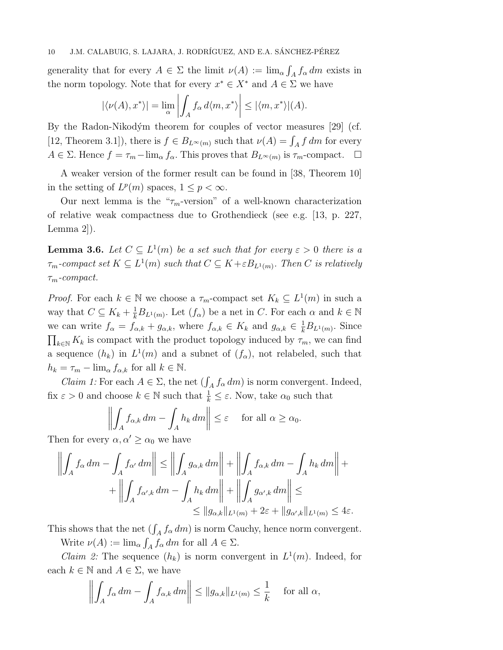generality that for every  $A \in \Sigma$  the limit  $\nu(A) := \lim_{\alpha} \int_A f_{\alpha} dm$  exists in the norm topology. Note that for every  $x^* \in X^*$  and  $A \in \Sigma$  we have

$$
|\langle \nu(A), x^* \rangle| = \lim_{\alpha} \left| \int_A f_{\alpha} d\langle m, x^* \rangle \right| \leq |\langle m, x^* \rangle| (A).
$$

By the Radon-Nikodým theorem for couples of vector measures [29] (cf. [12, Theorem 3.1]), there is  $f \in B_{L^{\infty}(m)}$  such that  $\nu(A) = \int_A f dm$  for every  $A \in \Sigma$ . Hence  $f = \tau_m - \lim_{\alpha} f_{\alpha}$ . This proves that  $B_{L^{\infty}(m)}$  is  $\tau_m$ -compact.  $\square$ 

A weaker version of the former result can be found in [38, Theorem 10] in the setting of  $L^p(m)$  spaces,  $1 \leq p < \infty$ .

Our next lemma is the " $\tau_m$ -version" of a well-known characterization of relative weak compactness due to Grothendieck (see e.g. [13, p. 227, Lemma 2]).

**Lemma 3.6.** Let  $C \subseteq L^1(m)$  be a set such that for every  $\varepsilon > 0$  there is a  $\tau_m$ -compact set  $K \subseteq L^1(m)$  such that  $C \subseteq K + \varepsilon B_{L^1(m)}$ . Then C is relatively  $\tau_m$ -compact.

*Proof.* For each  $k \in \mathbb{N}$  we choose a  $\tau_m$ -compact set  $K_k \subseteq L^1(m)$  in such a way that  $C \subseteq K_k + \frac{1}{k}B_{L^1(m)}$ . Let  $(f_\alpha)$  be a net in C. For each  $\alpha$  and  $k \in \mathbb{N}$ we can write  $f_{\alpha} = f_{\alpha,k} + g_{\alpha,k}$ , where  $f_{\alpha,k} \in K_k$  and  $g_{\alpha,k} \in \frac{1}{k}B_{L^1(m)}$ . Since  $\prod_{k\in\mathbb{N}} K_k$  is compact with the product topology induced by  $\tau_m$ , we can find a sequence  $(h_k)$  in  $L^1(m)$  and a subnet of  $(f_\alpha)$ , not relabeled, such that  $h_k = \tau_m - \lim_{\alpha} f_{\alpha,k}$  for all  $k \in \mathbb{N}$ .

*Claim 1:* For each  $A \in \Sigma$ , the net  $(\int_A f_\alpha dm)$  is norm convergent. Indeed, fix  $\varepsilon > 0$  and choose  $k \in \mathbb{N}$  such that  $\frac{1}{k} \leq \varepsilon$ . Now, take  $\alpha_0$  such that

$$
\left\| \int_A f_{\alpha,k} \, dm - \int_A h_k \, dm \right\| \le \varepsilon \quad \text{ for all } \alpha \ge \alpha_0.
$$

Then for every  $\alpha, \alpha' \geq \alpha_0$  we have

$$
\left\| \int_A f_\alpha dm - \int_A f_{\alpha'} dm \right\| \le \left\| \int_A g_{\alpha,k} dm \right\| + \left\| \int_A f_{\alpha,k} dm - \int_A h_k dm \right\| + \left\| \int_A f_{\alpha',k} dm - \int_A h_k dm \right\| + \left\| \int_A g_{\alpha',k} dm \right\| \le
$$
  

$$
\le \left\| g_{\alpha,k} \right\|_{L^1(m)} + 2\varepsilon + \left\| g_{\alpha',k} \right\|_{L^1(m)} \le 4\varepsilon.
$$

This shows that the net  $(\int_A f_\alpha dm)$  is norm Cauchy, hence norm convergent.

Write  $\nu(A) := \lim_{\alpha} \int_A f_{\alpha} dm$  for all  $A \in \Sigma$ .

*Claim 2:* The sequence  $(h_k)$  is norm convergent in  $L^1(m)$ . Indeed, for each  $k \in \mathbb{N}$  and  $A \in \Sigma$ , we have

$$
\left\| \int_A f_\alpha \, dm - \int_A f_{\alpha,k} \, dm \right\| \le \|g_{\alpha,k}\|_{L^1(m)} \le \frac{1}{k} \quad \text{ for all } \alpha,
$$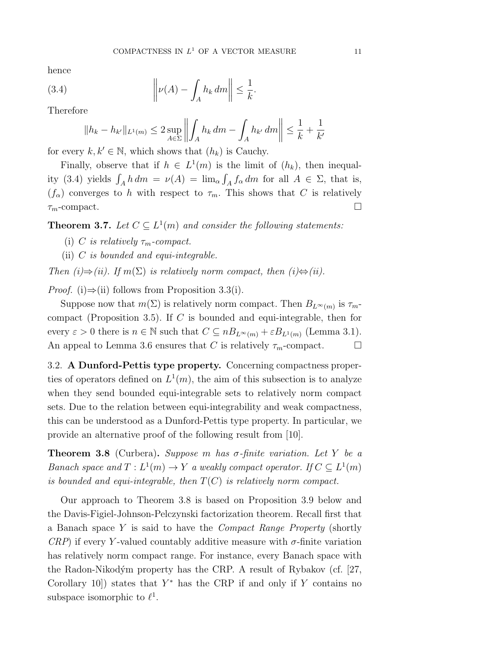.

hence

(3.4) 
$$
\left\| \nu(A) - \int_A h_k dm \right\| \leq \frac{1}{k}
$$

Therefore

$$
||h_k - h_{k'}||_{L^1(m)} \le 2 \sup_{A \in \Sigma} \left\| \int_A h_k \, dm - \int_A h_{k'} \, dm \right\| \le \frac{1}{k} + \frac{1}{k'}
$$

for every  $k, k' \in \mathbb{N}$ , which shows that  $(h_k)$  is Cauchy.

Finally, observe that if  $h \in L^1(m)$  is the limit of  $(h_k)$ , then inequality (3.4) yields  $\int_A h dm = \nu(A) = \lim_{\alpha} \int_A f_\alpha dm$  for all  $A \in \Sigma$ , that is,  $(f_{\alpha})$  converges to h with respect to  $\tau_m$ . This shows that C is relatively  $\tau_m$ -compact.

**Theorem 3.7.** Let  $C \subseteq L^1(m)$  and consider the following statements:

- (i) C is relatively  $\tau_m$ -compact.
- (ii)  $C$  is bounded and equi-integrable.

Then  $(i) \Rightarrow (ii)$ . If  $m(\Sigma)$  is relatively norm compact, then  $(i) \Leftrightarrow (ii)$ .

*Proof.* (i)⇒(ii) follows from Proposition 3.3(i).

Suppose now that  $m(\Sigma)$  is relatively norm compact. Then  $B_{L^{\infty}(m)}$  is  $\tau_m$ compact (Proposition 3.5). If C is bounded and equi-integrable, then for every  $\varepsilon > 0$  there is  $n \in \mathbb{N}$  such that  $C \subseteq nB_{L^{\infty}(m)} + \varepsilon B_{L^{1}(m)}$  (Lemma 3.1). An appeal to Lemma 3.6 ensures that C is relatively  $\tau_m$ -compact.  $\Box$ 

3.2. A Dunford-Pettis type property. Concerning compactness properties of operators defined on  $L^1(m)$ , the aim of this subsection is to analyze when they send bounded equi-integrable sets to relatively norm compact sets. Due to the relation between equi-integrability and weak compactness, this can be understood as a Dunford-Pettis type property. In particular, we provide an alternative proof of the following result from [10].

**Theorem 3.8** (Curbera). Suppose m has  $\sigma$ -finite variation. Let Y be a Banach space and  $T: L^1(m) \to Y$  a weakly compact operator. If  $C \subseteq L^1(m)$ is bounded and equi-integrable, then  $T(C)$  is relatively norm compact.

Our approach to Theorem 3.8 is based on Proposition 3.9 below and the Davis-Figiel-Johnson-Pelczynski factorization theorem. Recall first that a Banach space Y is said to have the Compact Range Property (shortly  $CRP$ ) if every Y-valued countably additive measure with  $\sigma$ -finite variation has relatively norm compact range. For instance, every Banach space with the Radon-Nikodým property has the CRP. A result of Rybakov (cf. [27, Corollary 10]) states that  $Y^*$  has the CRP if and only if Y contains no subspace isomorphic to  $\ell^1$ .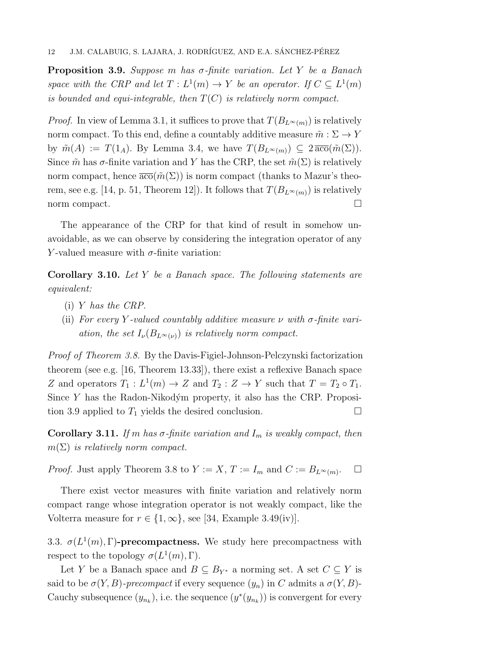**Proposition 3.9.** Suppose m has  $\sigma$ -finite variation. Let Y be a Banach space with the CRP and let  $T: L^1(m) \to Y$  be an operator. If  $C \subseteq L^1(m)$ is bounded and equi-integrable, then  $T(C)$  is relatively norm compact.

*Proof.* In view of Lemma 3.1, it suffices to prove that  $T(B_{L^{\infty}(m)})$  is relatively norm compact. To this end, define a countably additive measure  $\tilde{m}: \Sigma \to Y$ by  $\tilde{m}(A) := T(1_A)$ . By Lemma 3.4, we have  $T(B_{L^{\infty}(m)}) \subseteq 2 \overline{\mathrm{aco}}(\tilde{m}(\Sigma)).$ Since  $\tilde{m}$  has  $\sigma$ -finite variation and Y has the CRP, the set  $\tilde{m}(\Sigma)$  is relatively norm compact, hence  $\overline{\text{aco}}(\tilde{m}(\Sigma))$  is norm compact (thanks to Mazur's theorem, see e.g. [14, p. 51, Theorem 12]). It follows that  $T(B_{L^{\infty}(m)})$  is relatively norm compact.

The appearance of the CRP for that kind of result in somehow unavoidable, as we can observe by considering the integration operator of any Y-valued measure with  $\sigma$ -finite variation:

**Corollary 3.10.** Let Y be a Banach space. The following statements are equivalent:

- (i) Y has the CRP.
- (ii) For every Y-valued countably additive measure  $\nu$  with  $\sigma$ -finite variation, the set  $I_{\nu}(B_{L^{\infty}(\nu)})$  is relatively norm compact.

Proof of Theorem 3.8. By the Davis-Figiel-Johnson-Pelczynski factorization theorem (see e.g. [16, Theorem 13.33]), there exist a reflexive Banach space Z and operators  $T_1: L^1(m) \to Z$  and  $T_2: Z \to Y$  such that  $T = T_2 \circ T_1$ . Since Y has the Radon-Nikodým property, it also has the CRP. Proposition 3.9 applied to  $T_1$  yields the desired conclusion.

**Corollary 3.11.** If m has  $\sigma$ -finite variation and  $I_m$  is weakly compact, then  $m(\Sigma)$  is relatively norm compact.

*Proof.* Just apply Theorem 3.8 to  $Y := X$ ,  $T := I_m$  and  $C := B_{L^{\infty}(m)}$ .  $\Box$ 

There exist vector measures with finite variation and relatively norm compact range whose integration operator is not weakly compact, like the Volterra measure for  $r \in \{1, \infty\}$ , see [34, Example 3.49(iv)].

3.3.  $\sigma(L^1(m), \Gamma)$ -precompactness. We study here precompactness with respect to the topology  $\sigma(L^1(m), \Gamma)$ .

Let Y be a Banach space and  $B \subseteq B_{Y^*}$  a norming set. A set  $C \subseteq Y$  is said to be  $\sigma(Y, B)$ -precompact if every sequence  $(y_n)$  in C admits a  $\sigma(Y, B)$ -Cauchy subsequence  $(y_{n_k})$ , i.e. the sequence  $(y^*(y_{n_k}))$  is convergent for every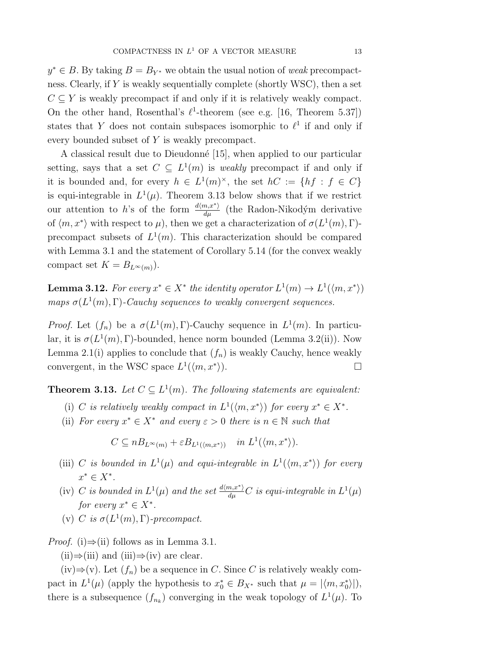$y^* \in B$ . By taking  $B = B_{Y^*}$  we obtain the usual notion of weak precompactness. Clearly, if Y is weakly sequentially complete (shortly WSC), then a set  $C \subseteq Y$  is weakly precompact if and only if it is relatively weakly compact. On the other hand, Rosenthal's  $\ell^1$ -theorem (see e.g. [16, Theorem 5.37]) states that Y does not contain subspaces isomorphic to  $\ell^1$  if and only if every bounded subset of Y is weakly precompact.

A classical result due to Dieudonné [15], when applied to our particular setting, says that a set  $C \subseteq L^1(m)$  is weakly precompact if and only if it is bounded and, for every  $h \in L^1(m)^\times$ , the set  $hC := \{ hf : f \in C\}$ is equi-integrable in  $L^1(\mu)$ . Theorem 3.13 below shows that if we restrict our attention to h's of the form  $\frac{d\langle m,x^*\rangle}{d\mu}$  (the Radon-Nikodým derivative of  $\langle m, x^* \rangle$  with respect to  $\mu$ , then we get a characterization of  $\sigma(L^1(m), \Gamma)$ precompact subsets of  $L^1(m)$ . This characterization should be compared with Lemma 3.1 and the statement of Corollary 5.14 (for the convex weakly compact set  $K = B_{L^{\infty}(m)}$ .

**Lemma 3.12.** For every  $x^* \in X^*$  the identity operator  $L^1(m) \to L^1(\langle m, x^* \rangle)$ maps  $\sigma(L^1(m), \Gamma)$ -Cauchy sequences to weakly convergent sequences.

*Proof.* Let  $(f_n)$  be a  $\sigma(L^1(m), \Gamma)$ -Cauchy sequence in  $L^1(m)$ . In particular, it is  $\sigma(L^1(m), \Gamma)$ -bounded, hence norm bounded (Lemma 3.2(ii)). Now Lemma 2.1(i) applies to conclude that  $(f_n)$  is weakly Cauchy, hence weakly convergent, in the WSC space  $L^1(\langle m, x^* \rangle)$  $\rangle$ ).

**Theorem 3.13.** Let  $C \subseteq L^1(m)$ . The following statements are equivalent:

- (i) C is relatively weakly compact in  $L^1(\langle m, x^* \rangle)$  for every  $x^* \in X^*$ .
- (ii) For every  $x^* \in X^*$  and every  $\varepsilon > 0$  there is  $n \in \mathbb{N}$  such that

 $C \subseteq nB_{L^{\infty}(m)} + \varepsilon B_{L^{1}(\langle m,x^{*} \rangle)}$  in  $L^{1}(\langle m,x^{*} \rangle)$ .

- (iii) C is bounded in  $L^1(\mu)$  and equi-integrable in  $L^1(\langle m, x^* \rangle)$  for every  $x^* \in X^*$ .
- (iv) C is bounded in  $L^1(\mu)$  and the set  $\frac{d(m,x^*)}{d\mu}C$  is equi-integrable in  $L^1(\mu)$ for every  $x^* \in X^*$ .
- (v) C is  $\sigma(L^1(m), \Gamma)$ -precompact.

*Proof.* (i) $\Rightarrow$ (ii) follows as in Lemma 3.1.

 $(ii) \Rightarrow (iii)$  and  $(iii) \Rightarrow (iv)$  are clear.

(iv)⇒(v). Let  $(f_n)$  be a sequence in C. Since C is relatively weakly compact in  $L^1(\mu)$  (apply the hypothesis to  $x_0^* \in B_{X^*}$  such that  $\mu = |\langle m, x_0^* \rangle|$ ), there is a subsequence  $(f_{n_k})$  converging in the weak topology of  $L^1(\mu)$ . To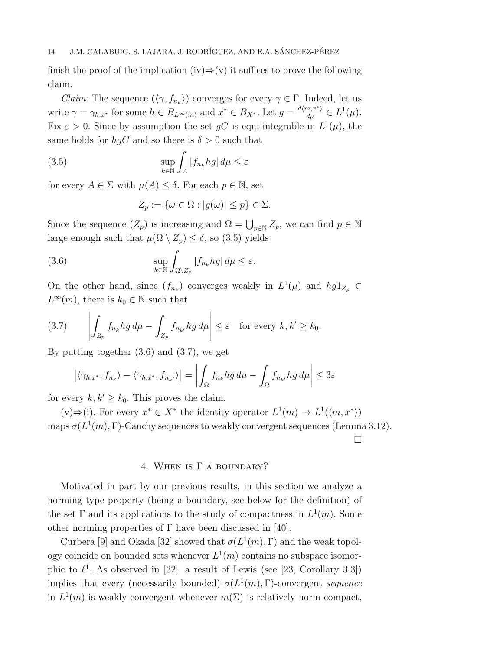finish the proof of the implication (iv) $\Rightarrow$ (v) it suffices to prove the following claim.

*Claim:* The sequence  $(\langle \gamma, f_{n_k} \rangle)$  converges for every  $\gamma \in \Gamma$ . Indeed, let us write  $\gamma = \gamma_{h,x^*}$  for some  $h \in B_{L^{\infty}(m)}$  and  $x^* \in B_{X^*}$ . Let  $g = \frac{d \langle m, x^* \rangle}{d \mu} \in L^1(\mu)$ . Fix  $\varepsilon > 0$ . Since by assumption the set gC is equi-integrable in  $L^1(\mu)$ , the same holds for  $hqC$  and so there is  $\delta > 0$  such that

(3.5) 
$$
\sup_{k \in \mathbb{N}} \int_{A} |f_{n_k} h g| d\mu \leq \varepsilon
$$

for every  $A \in \Sigma$  with  $\mu(A) \leq \delta$ . For each  $p \in \mathbb{N}$ , set

$$
Z_p := \{ \omega \in \Omega : |g(\omega)| \le p \} \in \Sigma.
$$

Since the sequence  $(Z_p)$  is increasing and  $\Omega = \bigcup_{p \in \mathbb{N}} Z_p$ , we can find  $p \in \mathbb{N}$ large enough such that  $\mu(\Omega \setminus Z_p) \leq \delta$ , so (3.5) yields

(3.6) 
$$
\sup_{k \in \mathbb{N}} \int_{\Omega \setminus Z_p} |f_{n_k} h g| \, d\mu \leq \varepsilon.
$$

On the other hand, since  $(f_{n_k})$  converges weakly in  $L^1(\mu)$  and  $hg1_{Z_p} \in$  $L^{\infty}(m)$ , there is  $k_0 \in \mathbb{N}$  such that

(3.7) 
$$
\left| \int_{Z_p} f_{n_k} h g \, d\mu - \int_{Z_p} f_{n_{k'}} h g \, d\mu \right| \leq \varepsilon \quad \text{for every } k, k' \geq k_0.
$$

By putting together (3.6) and (3.7), we get

 $\mathbf{I}$ 

$$
\left| \langle \gamma_{h,x^*}, f_{n_k} \rangle - \langle \gamma_{h,x^*}, f_{n_{k'}} \rangle \right| = \left| \int_{\Omega} f_{n_k} h g \, d\mu - \int_{\Omega} f_{n_{k'}} h g \, d\mu \right| \leq 3\varepsilon
$$

for every  $k, k' \geq k_0$ . This proves the claim.

 $(v) \Rightarrow (i)$ . For every  $x^* \in X^*$  the identity operator  $L^1(m) \rightarrow L^1(\langle m, x^* \rangle)$ maps  $\sigma(L^1(m), \Gamma)$ -Cauchy sequences to weakly convergent sequences (Lemma 3.12).

 $\Box$ 

## 4. WHEN IS  $\Gamma$  a boundary?

Motivated in part by our previous results, in this section we analyze a norming type property (being a boundary, see below for the definition) of the set  $\Gamma$  and its applications to the study of compactness in  $L^1(m)$ . Some other norming properties of  $\Gamma$  have been discussed in [40].

Curbera [9] and Okada [32] showed that  $\sigma(L^1(m), \Gamma)$  and the weak topology coincide on bounded sets whenever  $L^1(m)$  contains no subspace isomorphic to  $\ell^1$ . As observed in [32], a result of Lewis (see [23, Corollary 3.3]) implies that every (necessarily bounded)  $\sigma(L^1(m), \Gamma)$ -convergent sequence in  $L^1(m)$  is weakly convergent whenever  $m(\Sigma)$  is relatively norm compact,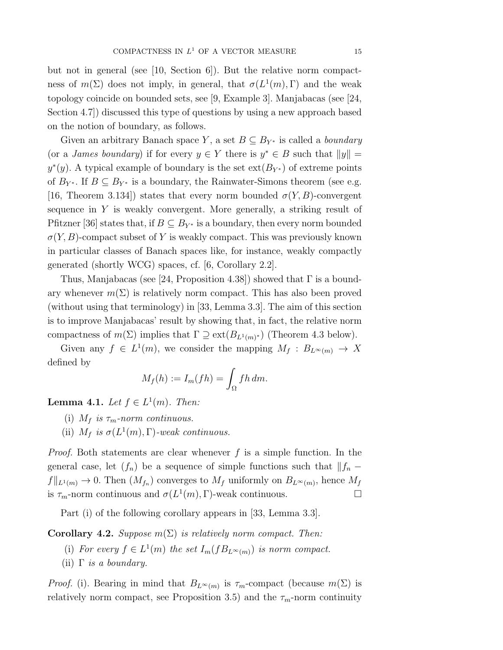but not in general (see [10, Section 6]). But the relative norm compactness of  $m(\Sigma)$  does not imply, in general, that  $\sigma(L^1(m), \Gamma)$  and the weak topology coincide on bounded sets, see [9, Example 3]. Manjabacas (see [24, Section 4.7]) discussed this type of questions by using a new approach based on the notion of boundary, as follows.

Given an arbitrary Banach space Y, a set  $B \subseteq B_{Y^*}$  is called a *boundary* (or a *James boundary*) if for every  $y \in Y$  there is  $y^* \in B$  such that  $||y|| =$  $y^*(y)$ . A typical example of boundary is the set  $ext(B_{Y^*})$  of extreme points of  $B_{Y^*}$ . If  $B \subseteq B_{Y^*}$  is a boundary, the Rainwater-Simons theorem (see e.g. [16, Theorem 3.134]) states that every norm bounded  $\sigma(Y, B)$ -convergent sequence in Y is weakly convergent. More generally, a striking result of Pfitzner [36] states that, if  $B \subseteq B_{Y^*}$  is a boundary, then every norm bounded  $\sigma(Y, B)$ -compact subset of Y is weakly compact. This was previously known in particular classes of Banach spaces like, for instance, weakly compactly generated (shortly WCG) spaces, cf. [6, Corollary 2.2].

Thus, Manjabacas (see [24, Proposition 4.38]) showed that  $\Gamma$  is a boundary whenever  $m(\Sigma)$  is relatively norm compact. This has also been proved (without using that terminology) in [33, Lemma 3.3]. The aim of this section is to improve Manjabacas' result by showing that, in fact, the relative norm compactness of  $m(\Sigma)$  implies that  $\Gamma \supseteq \text{ext}(B_{L^1(m)^*})$  (Theorem 4.3 below).

Given any  $f \in L^1(m)$ , we consider the mapping  $M_f : B_{L^{\infty}(m)} \to X$ defined by

$$
M_f(h) := I_m(fh) = \int_{\Omega} fh \, dm.
$$

**Lemma 4.1.** Let  $f \in L^1(m)$ . Then:

- (i)  $M_f$  is  $\tau_m$ -norm continuous.
- (ii)  $M_f$  is  $\sigma(L^1(m), \Gamma)$ -weak continuous.

*Proof.* Both statements are clear whenever f is a simple function. In the general case, let  $(f_n)$  be a sequence of simple functions such that  $||f_n$  $f\|_{L^1(m)} \to 0$ . Then  $(M_{f_n})$  converges to  $M_f$  uniformly on  $B_{L^{\infty}(m)}$ , hence  $M_f$ is  $\tau_m$ -norm continuous and  $\sigma(L^1(m), \Gamma)$ -weak continuous.

Part (i) of the following corollary appears in [33, Lemma 3.3].

**Corollary 4.2.** Suppose  $m(\Sigma)$  is relatively norm compact. Then:

- (i) For every  $f \in L^1(m)$  the set  $I_m(fB_{L^{\infty}(m)})$  is norm compact.
- (ii)  $\Gamma$  *is a boundary.*

*Proof.* (i). Bearing in mind that  $B_{L^{\infty}(m)}$  is  $\tau_m$ -compact (because  $m(\Sigma)$  is relatively norm compact, see Proposition 3.5) and the  $\tau_m$ -norm continuity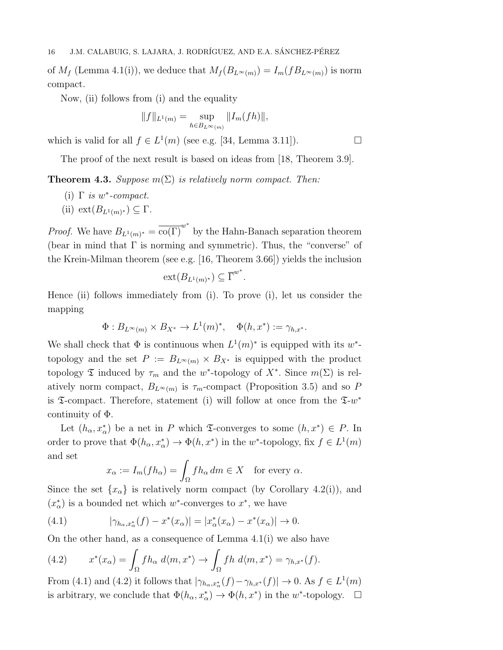of  $M_f$  (Lemma 4.1(i)), we deduce that  $M_f(B_{L^{\infty}(m)}) = I_m(fB_{L^{\infty}(m)})$  is norm compact.

Now, (ii) follows from (i) and the equality

$$
||f||_{L^{1}(m)} = \sup_{h \in B_{L^{\infty}(m)}} ||I_{m}(fh)||,
$$

which is valid for all  $f \in L^1(m)$  (see e.g. [34, Lemma 3.11]).

The proof of the next result is based on ideas from [18, Theorem 3.9].

**Theorem 4.3.** Suppose  $m(\Sigma)$  is relatively norm compact. Then:

- (i)  $\Gamma$  is w\*-compact.
- (ii)  $ext(B_{L^1(m)^*}) \subseteq \Gamma$ .

*Proof.* We have  $B_{L^1(m)^*} = \overline{\mathrm{co}(\Gamma)}^{w^*}$  by the Hahn-Banach separation theorem (bear in mind that  $\Gamma$  is norming and symmetric). Thus, the "converse" of the Krein-Milman theorem (see e.g. [16, Theorem 3.66]) yields the inclusion

$$
\operatorname{ext}(B_{L^1(m)^*}) \subseteq \overline{\Gamma}^{w^*}.
$$

Hence (ii) follows immediately from (i). To prove (i), let us consider the mapping

$$
\Phi: B_{L^{\infty}(m)} \times B_{X^*} \to L^1(m)^*, \quad \Phi(h, x^*) := \gamma_{h, x^*}.
$$

We shall check that  $\Phi$  is continuous when  $L^1(m)^*$  is equipped with its w<sup>\*</sup>topology and the set  $P := B_{L^{\infty}(m)} \times B_{X^*}$  is equipped with the product topology  $\mathfrak T$  induced by  $\tau_m$  and the w<sup>\*</sup>-topology of  $X^*$ . Since  $m(\Sigma)$  is relatively norm compact,  $B_{L^{\infty}(m)}$  is  $\tau_m$ -compact (Proposition 3.5) and so P is  $\mathfrak T$ -compact. Therefore, statement (i) will follow at once from the  $\mathfrak T$ -w<sup>\*</sup> continuity of Φ.

Let  $(h_{\alpha}, x_{\alpha}^*)$  be a net in P which  $\mathfrak{I}$ -converges to some  $(h, x^*) \in P$ . In order to prove that  $\Phi(h_{\alpha}, x_{\alpha}^*) \to \Phi(h, x^*)$  in the w<sup>\*</sup>-topology, fix  $f \in L^1(m)$ and set

$$
x_{\alpha} := I_m(fh_{\alpha}) = \int_{\Omega} fh_{\alpha} dm \in X \quad \text{for every } \alpha.
$$

Since the set  $\{x_{\alpha}\}\$ is relatively norm compact (by Corollary 4.2(i)), and  $(x_{\alpha}^*)$  is a bounded net which w<sup>\*</sup>-converges to  $x^*$ , we have

(4.1) 
$$
|\gamma_{h_{\alpha},x_{\alpha}^*}(f) - x^*(x_{\alpha})| = |x_{\alpha}^*(x_{\alpha}) - x^*(x_{\alpha})| \to 0.
$$

On the other hand, as a consequence of Lemma 4.1(i) we also have

(4.2) 
$$
x^*(x_\alpha) = \int_{\Omega} f h_\alpha \ d\langle m, x^* \rangle \to \int_{\Omega} f h \ d\langle m, x^* \rangle = \gamma_{h,x^*}(f).
$$

From (4.1) and (4.2) it follows that  $|\gamma_{h_\alpha,x^*_{\alpha}}(f)-\gamma_{h,x^*}(f)|\to 0$ . As  $f\in L^1(m)$ is arbitrary, we conclude that  $\Phi(h_{\alpha}, x_{\alpha}^*) \to \Phi(h, x^*)$  in the w<sup>\*</sup>-topology.  $\Box$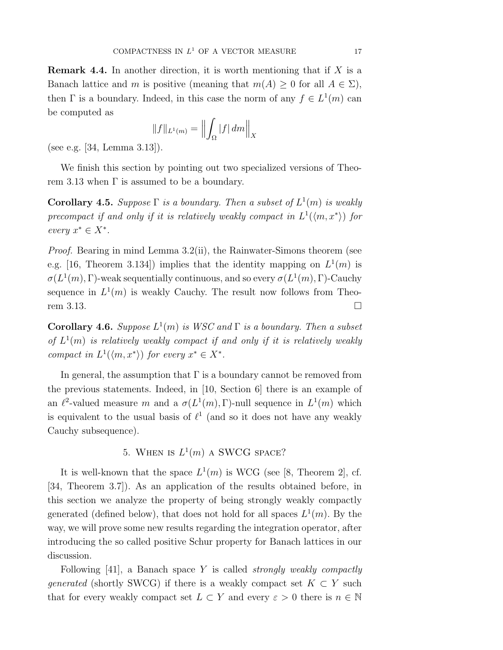**Remark 4.4.** In another direction, it is worth mentioning that if  $X$  is a Banach lattice and m is positive (meaning that  $m(A) \geq 0$  for all  $A \in \Sigma$ ), then  $\Gamma$  is a boundary. Indeed, in this case the norm of any  $f \in L^1(m)$  can be computed as

$$
||f||_{L^1(m)} = \left||\int_{\Omega} |f| \, dm\right||_X
$$

(see e.g. [34, Lemma 3.13]).

We finish this section by pointing out two specialized versions of Theorem 3.13 when  $\Gamma$  is assumed to be a boundary.

**Corollary 4.5.** Suppose  $\Gamma$  is a boundary. Then a subset of  $L^1(m)$  is weakly precompact if and only if it is relatively weakly compact in  $L^1(\langle m, x^* \rangle)$  for every  $x^* \in X^*$ .

*Proof.* Bearing in mind Lemma  $3.2(i)$ , the Rainwater-Simons theorem (see e.g. [16, Theorem 3.134]) implies that the identity mapping on  $L^1(m)$  is  $\sigma(L^1(m), \Gamma)$ -weak sequentially continuous, and so every  $\sigma(L^1(m), \Gamma)$ -Cauchy sequence in  $L^1(m)$  is weakly Cauchy. The result now follows from Theorem 3.13.

**Corollary 4.6.** Suppose  $L^1(m)$  is WSC and  $\Gamma$  is a boundary. Then a subset of  $L^1(m)$  is relatively weakly compact if and only if it is relatively weakly compact in  $L^1(\langle m, x^* \rangle)$  for every  $x^* \in X^*$ .

In general, the assumption that  $\Gamma$  is a boundary cannot be removed from the previous statements. Indeed, in [10, Section 6] there is an example of an  $\ell^2$ -valued measure m and a  $\sigma(L^1(m), \Gamma)$ -null sequence in  $L^1(m)$  which is equivalent to the usual basis of  $\ell^1$  (and so it does not have any weakly Cauchy subsequence).

5. WHEN IS  $L^1(m)$  A SWCG SPACE?

It is well-known that the space  $L^1(m)$  is WCG (see [8, Theorem 2], cf. [34, Theorem 3.7]). As an application of the results obtained before, in this section we analyze the property of being strongly weakly compactly generated (defined below), that does not hold for all spaces  $L^1(m)$ . By the way, we will prove some new results regarding the integration operator, after introducing the so called positive Schur property for Banach lattices in our discussion.

Following  $[41]$ , a Banach space Y is called *strongly weakly compactly generated* (shortly SWCG) if there is a weakly compact set  $K \subset Y$  such that for every weakly compact set  $L \subset Y$  and every  $\varepsilon > 0$  there is  $n \in \mathbb{N}$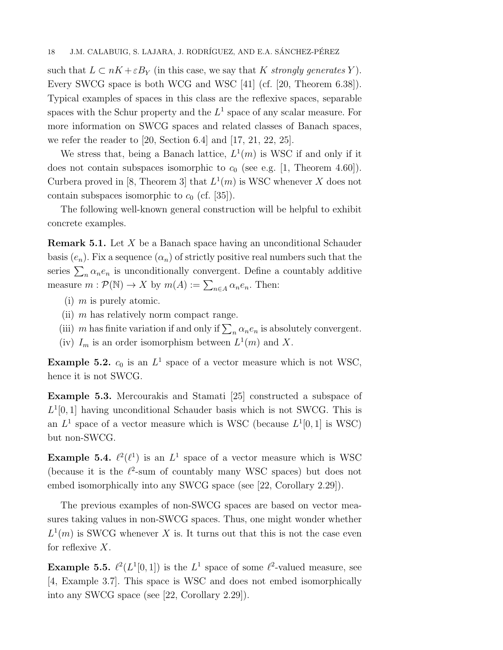such that  $L \subset nK + \varepsilon B_Y$  (in this case, we say that K strongly generates Y). Every SWCG space is both WCG and WSC [41] (cf. [20, Theorem 6.38]). Typical examples of spaces in this class are the reflexive spaces, separable spaces with the Schur property and the  $L^1$  space of any scalar measure. For more information on SWCG spaces and related classes of Banach spaces, we refer the reader to [20, Section 6.4] and [17, 21, 22, 25].

We stress that, being a Banach lattice,  $L^1(m)$  is WSC if and only if it does not contain subspaces isomorphic to  $c_0$  (see e.g. [1, Theorem 4.60]). Curbera proved in [8, Theorem 3] that  $L^1(m)$  is WSC whenever X does not contain subspaces isomorphic to  $c_0$  (cf. [35]).

The following well-known general construction will be helpful to exhibit concrete examples.

Remark 5.1. Let X be a Banach space having an unconditional Schauder basis  $(e_n)$ . Fix a sequence  $(\alpha_n)$  of strictly positive real numbers such that the series  $\sum_{n} \alpha_n e_n$  is unconditionally convergent. Define a countably additive measure  $m : \mathcal{P}(\mathbb{N}) \to X$  by  $m(A) := \sum_{n \in A} \alpha_n e_n$ . Then:

- (i)  $m$  is purely atomic.
- (ii)  $m$  has relatively norm compact range.
- (iii) m has finite variation if and only if  $\sum_n \alpha_n e_n$  is absolutely convergent.
- (iv)  $I_m$  is an order isomorphism between  $L^1(m)$  and X.

**Example 5.2.**  $c_0$  is an  $L^1$  space of a vector measure which is not WSC, hence it is not SWCG.

Example 5.3. Mercourakis and Stamati [25] constructed a subspace of  $L^1[0,1]$  having unconditional Schauder basis which is not SWCG. This is an  $L^1$  space of a vector measure which is WSC (because  $L^1[0,1]$  is WSC) but non-SWCG.

**Example 5.4.**  $\ell^2(\ell^1)$  is an  $L^1$  space of a vector measure which is WSC (because it is the  $\ell^2$ -sum of countably many WSC spaces) but does not embed isomorphically into any SWCG space (see [22, Corollary 2.29]).

The previous examples of non-SWCG spaces are based on vector measures taking values in non-SWCG spaces. Thus, one might wonder whether  $L^1(m)$  is SWCG whenever X is. It turns out that this is not the case even for reflexive  $X$ .

**Example 5.5.**  $\ell^2(L^1[0,1])$  is the  $L^1$  space of some  $\ell^2$ -valued measure, see [4, Example 3.7]. This space is WSC and does not embed isomorphically into any SWCG space (see [22, Corollary 2.29]).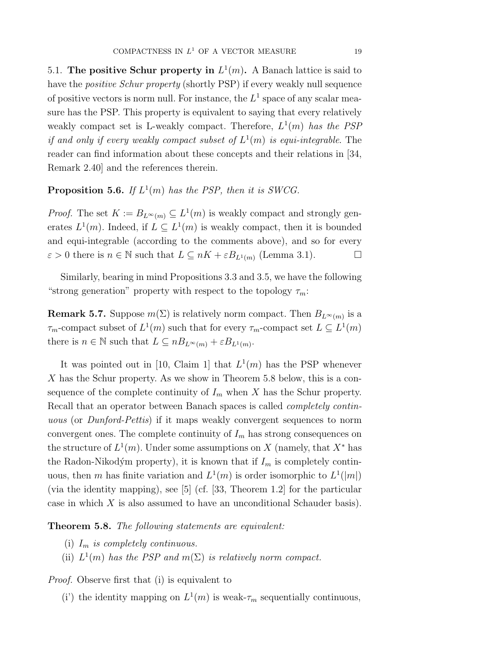5.1. The positive Schur property in  $L^1(m)$ . A Banach lattice is said to have the *positive Schur property* (shortly PSP) if every weakly null sequence of positive vectors is norm null. For instance, the  $L^1$  space of any scalar measure has the PSP. This property is equivalent to saying that every relatively weakly compact set is L-weakly compact. Therefore,  $L^1(m)$  has the PSP if and only if every weakly compact subset of  $L^1(m)$  is equi-integrable. The reader can find information about these concepts and their relations in [34, Remark 2.40] and the references therein.

## **Proposition 5.6.** If  $L^1(m)$  has the PSP, then it is SWCG.

*Proof.* The set  $K := B_{L^{\infty}(m)} \subseteq L^{1}(m)$  is weakly compact and strongly generates  $L^1(m)$ . Indeed, if  $L \subseteq L^1(m)$  is weakly compact, then it is bounded and equi-integrable (according to the comments above), and so for every  $\varepsilon > 0$  there is  $n \in \mathbb{N}$  such that  $L \subseteq nK + \varepsilon B_{L^1(m)}$  (Lemma 3.1).

Similarly, bearing in mind Propositions 3.3 and 3.5, we have the following "strong generation" property with respect to the topology  $\tau_m$ :

**Remark 5.7.** Suppose  $m(\Sigma)$  is relatively norm compact. Then  $B_{L^{\infty}(m)}$  is a  $\tau_m$ -compact subset of  $L^1(m)$  such that for every  $\tau_m$ -compact set  $L \subseteq L^1(m)$ there is  $n \in \mathbb{N}$  such that  $L \subseteq nB_{L^{\infty}(m)} + \varepsilon B_{L^{1}(m)}$ .

It was pointed out in [10, Claim 1] that  $L^1(m)$  has the PSP whenever X has the Schur property. As we show in Theorem 5.8 below, this is a consequence of the complete continuity of  $I_m$  when X has the Schur property. Recall that an operator between Banach spaces is called completely continuous (or *Dunford-Pettis*) if it maps weakly convergent sequences to norm convergent ones. The complete continuity of  $I_m$  has strong consequences on the structure of  $L^1(m)$ . Under some assumptions on X (namely, that  $X^*$  has the Radon-Nikodým property), it is known that if  $I_m$  is completely continuous, then m has finite variation and  $L^1(m)$  is order isomorphic to  $L^1(|m|)$ (via the identity mapping), see  $[5]$  (cf. [33, Theorem 1.2] for the particular case in which  $X$  is also assumed to have an unconditional Schauder basis).

## Theorem 5.8. The following statements are equivalent:

- (i)  $I_m$  is completely continuous.
- (ii)  $L^1(m)$  has the PSP and  $m(\Sigma)$  is relatively norm compact.

Proof. Observe first that (i) is equivalent to

(i') the identity mapping on  $L^1(m)$  is weak- $\tau_m$  sequentially continuous,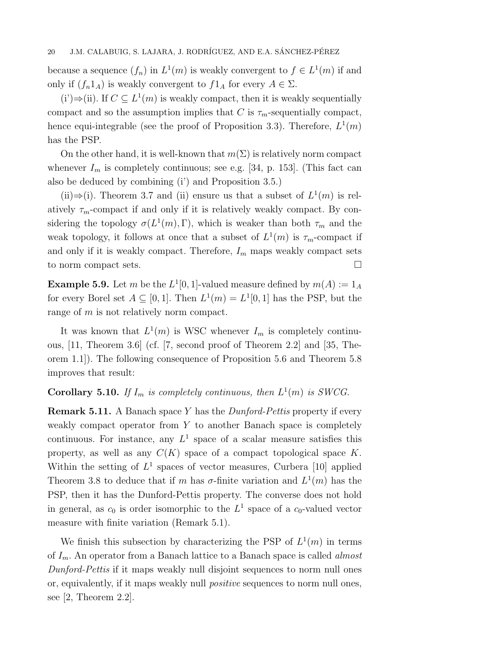because a sequence  $(f_n)$  in  $L^1(m)$  is weakly convergent to  $f \in L^1(m)$  if and only if  $(f_n 1_A)$  is weakly convergent to  $f1_A$  for every  $A \in \Sigma$ .

 $(i')\Rightarrow (ii)$ . If  $C ⊆ L<sup>1</sup>(m)$  is weakly compact, then it is weakly sequentially compact and so the assumption implies that C is  $\tau_m$ -sequentially compact, hence equi-integrable (see the proof of Proposition 3.3). Therefore,  $L^1(m)$ has the PSP.

On the other hand, it is well-known that  $m(\Sigma)$  is relatively norm compact whenever  $I_m$  is completely continuous; see e.g. [34, p. 153]. (This fact can also be deduced by combining (i') and Proposition 3.5.)

(ii)  $\Rightarrow$  (i). Theorem 3.7 and (ii) ensure us that a subset of  $L^1(m)$  is relatively  $\tau_m$ -compact if and only if it is relatively weakly compact. By considering the topology  $\sigma(L^1(m), \Gamma)$ , which is weaker than both  $\tau_m$  and the weak topology, it follows at once that a subset of  $L^1(m)$  is  $\tau_m$ -compact if and only if it is weakly compact. Therefore,  $I_m$  maps weakly compact sets to norm compact sets.

**Example 5.9.** Let m be the  $L^1[0,1]$ -valued measure defined by  $m(A) := 1_A$ for every Borel set  $A \subseteq [0,1]$ . Then  $L^1(m) = L^1[0,1]$  has the PSP, but the range of m is not relatively norm compact.

It was known that  $L^1(m)$  is WSC whenever  $I_m$  is completely continuous,  $[11,$  Theorem 3.6 (cf.  $[7,$  second proof of Theorem 2.2 and  $[35,$  Theorem 1.1]). The following consequence of Proposition 5.6 and Theorem 5.8 improves that result:

# **Corollary 5.10.** If  $I_m$  is completely continuous, then  $L^1(m)$  is SWCG.

**Remark 5.11.** A Banach space Y has the *Dunford-Pettis* property if every weakly compact operator from  $Y$  to another Banach space is completely continuous. For instance, any  $L^1$  space of a scalar measure satisfies this property, as well as any  $C(K)$  space of a compact topological space K. Within the setting of  $L^1$  spaces of vector measures, Curbera [10] applied Theorem 3.8 to deduce that if m has  $\sigma$ -finite variation and  $L^1(m)$  has the PSP, then it has the Dunford-Pettis property. The converse does not hold in general, as  $c_0$  is order isomorphic to the  $L^1$  space of a  $c_0$ -valued vector measure with finite variation (Remark 5.1).

We finish this subsection by characterizing the PSP of  $L^1(m)$  in terms of  $I_m$ . An operator from a Banach lattice to a Banach space is called *almost* Dunford-Pettis if it maps weakly null disjoint sequences to norm null ones or, equivalently, if it maps weakly null positive sequences to norm null ones, see [2, Theorem 2.2].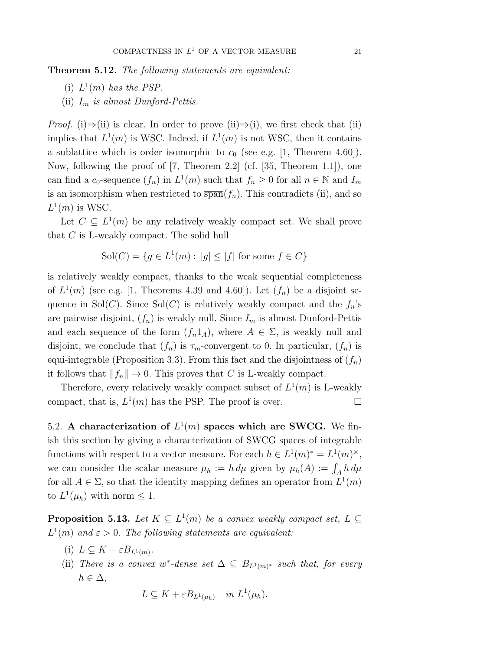**Theorem 5.12.** The following statements are equivalent:

- (i)  $L^1(m)$  has the PSP.
- (ii)  $I_m$  is almost Dunford-Pettis.

*Proof.* (i)⇒(ii) is clear. In order to prove (ii)⇒(i), we first check that (ii) implies that  $L^1(m)$  is WSC. Indeed, if  $L^1(m)$  is not WSC, then it contains a sublattice which is order isomorphic to  $c_0$  (see e.g. [1, Theorem 4.60]). Now, following the proof of [7, Theorem 2.2] (cf. [35, Theorem 1.1]), one can find a  $c_0$ -sequence  $(f_n)$  in  $L^1(m)$  such that  $f_n \geq 0$  for all  $n \in \mathbb{N}$  and  $I_m$ is an isomorphism when restricted to  $\overline{span}(f_n)$ . This contradicts (ii), and so  $L^1(m)$  is WSC.

Let  $C \subseteq L^1(m)$  be any relatively weakly compact set. We shall prove that C is L-weakly compact. The solid hull

$$
Sol(C) = \{ g \in L^1(m) : |g| \le |f| \text{ for some } f \in C \}
$$

is relatively weakly compact, thanks to the weak sequential completeness of  $L^1(m)$  (see e.g. [1, Theorems 4.39 and 4.60]). Let  $(f_n)$  be a disjoint sequence in Sol(C). Since Sol(C) is relatively weakly compact and the  $f_n$ 's are pairwise disjoint,  $(f_n)$  is weakly null. Since  $I_m$  is almost Dunford-Pettis and each sequence of the form  $(f_n 1_A)$ , where  $A \in \Sigma$ , is weakly null and disjoint, we conclude that  $(f_n)$  is  $\tau_m$ -convergent to 0. In particular,  $(f_n)$  is equi-integrable (Proposition 3.3). From this fact and the disjointness of  $(f_n)$ it follows that  $||f_n|| \to 0$ . This proves that C is L-weakly compact.

Therefore, every relatively weakly compact subset of  $L^1(m)$  is L-weakly compact, that is,  $L^1(m)$  has the PSP. The proof is over.

5.2. A characterization of  $L^1(m)$  spaces which are SWCG. We finish this section by giving a characterization of SWCG spaces of integrable functions with respect to a vector measure. For each  $h \in L^1(m)^* = L^1(m)^*$ , we can consider the scalar measure  $\mu_h := h d\mu$  given by  $\mu_h(A) := \int_A h d\mu$ for all  $A \in \Sigma$ , so that the identity mapping defines an operator from  $L^1(m)$ to  $L^1(\mu_h)$  with norm  $\leq 1$ .

**Proposition 5.13.** Let  $K \subseteq L^1(m)$  be a convex weakly compact set,  $L \subseteq$  $L^1(m)$  and  $\varepsilon > 0$ . The following statements are equivalent:

- (i)  $L \subseteq K + \varepsilon B_{L^1(m)}$ .
- (ii) There is a convex w\*-dense set  $\Delta \subseteq B_{L^1(m)^*}$  such that, for every  $h \in \Delta$ ,

$$
L \subseteq K + \varepsilon B_{L^1(\mu_h)} \quad in \ L^1(\mu_h).
$$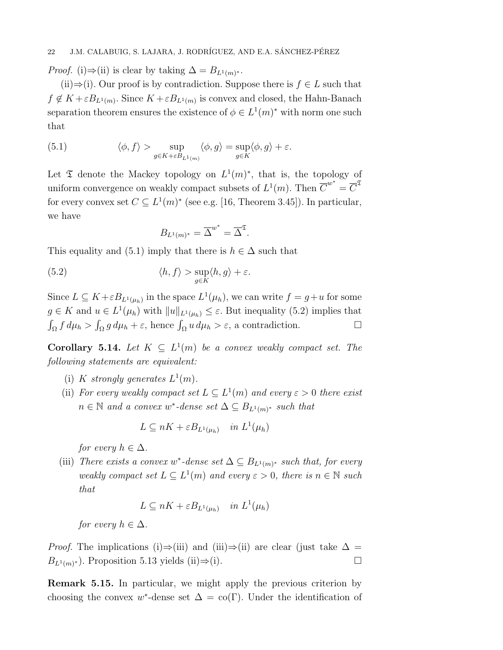*Proof.* (i)⇒(ii) is clear by taking  $\Delta = B_{L^1(m)^*}.$ 

(ii) $\Rightarrow$ (i). Our proof is by contradiction. Suppose there is  $f \in L$  such that  $f \notin K + \varepsilon B_{L^1(m)}$ . Since  $K + \varepsilon B_{L^1(m)}$  is convex and closed, the Hahn-Banach separation theorem ensures the existence of  $\phi \in L^1(m)^*$  with norm one such that

(5.1) 
$$
\langle \phi, f \rangle > \sup_{g \in K + \varepsilon B_{L^1(m)}} \langle \phi, g \rangle = \sup_{g \in K} \langle \phi, g \rangle + \varepsilon.
$$

Let  $\mathfrak T$  denote the Mackey topology on  $L^1(m)^*$ , that is, the topology of uniform convergence on weakly compact subsets of  $L^1(m)$ . Then  $\overline{C}^{w^*} = \overline{C}^{\mathfrak{T}}$ for every convex set  $C \subseteq L^1(m)^*$  (see e.g. [16, Theorem 3.45]). In particular, we have

$$
B_{L^1(m)^*} = \overline{\Delta}^{w^*} = \overline{\Delta}^{\mathfrak{T}}.
$$

This equality and (5.1) imply that there is  $h \in \Delta$  such that

(5.2) 
$$
\langle h, f \rangle > \sup_{g \in K} \langle h, g \rangle + \varepsilon.
$$

Since  $L \subseteq K + \varepsilon B_{L^1(\mu_h)}$  in the space  $L^1(\mu_h)$ , we can write  $f = g+u$  for some  $g \in K$  and  $u \in L^1(\mu_h)$  with  $||u||_{L^1(\mu_h)} \leq \varepsilon$ . But inequality (5.2) implies that  $\int_{\Omega} f d\mu_h > \int_{\Omega} g d\mu_h + \varepsilon$ , hence  $\int_{\Omega} u d\mu_h > \varepsilon$ , a contradiction.

**Corollary 5.14.** Let  $K \subseteq L^1(m)$  be a convex weakly compact set. The following statements are equivalent:

- (i) K strongly generates  $L^1(m)$ .
- (ii) For every weakly compact set  $L \subseteq L^1(m)$  and every  $\varepsilon > 0$  there exist  $n \in \mathbb{N}$  and a convex w<sup>\*</sup>-dense set  $\Delta \subseteq B_{L^1(m)^*}$  such that

$$
L \subseteq nK + \varepsilon B_{L^1(\mu_h)} \quad in \ L^1(\mu_h)
$$

for every  $h \in \Delta$ .

(iii) There exists a convex w<sup>\*</sup>-dense set  $\Delta \subseteq B_{L^1(m)^*}$  such that, for every weakly compact set  $L \subseteq L^1(m)$  and every  $\varepsilon > 0$ , there is  $n \in \mathbb{N}$  such that

$$
L \subseteq nK + \varepsilon B_{L^1(\mu_h)} \quad in \ L^1(\mu_h)
$$

for every  $h \in \Delta$ .

*Proof.* The implications (i)⇒(iii) and (iii)⇒(ii) are clear (just take  $\Delta$  =  $B_{L^1(m)^*}$ ). Proposition 5.13 yields (ii)⇒(i).

Remark 5.15. In particular, we might apply the previous criterion by choosing the convex w<sup>\*</sup>-dense set  $\Delta = \text{co}(\Gamma)$ . Under the identification of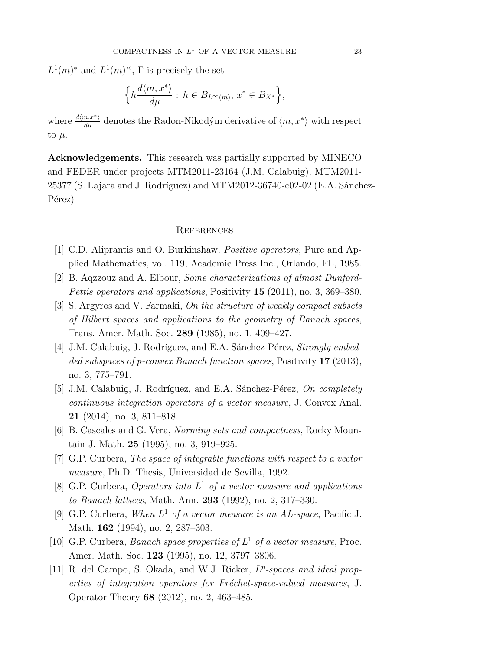$L^1(m)^*$  and  $L^1(m)^*$ ,  $\Gamma$  is precisely the set

$$
\Big\{h\frac{d\langle m,x^*\rangle}{d\mu}:\, h\in B_{L^\infty(m)},\, x^*\in B_{X^*}\Big\},
$$

where  $\frac{d\langle m, x^* \rangle}{d\mu}$  denotes the Radon-Nikodým derivative of  $\langle m, x^* \rangle$  with respect to  $\mu$ .

Acknowledgements. This research was partially supported by MINECO and FEDER under projects MTM2011-23164 (J.M. Calabuig), MTM2011-  $25377$  (S. Lajara and J. Rodríguez) and MTM2012-36740-c02-02 (E.A. Sánchez-Pérez)

## **REFERENCES**

- [1] C.D. Aliprantis and O. Burkinshaw, Positive operators, Pure and Applied Mathematics, vol. 119, Academic Press Inc., Orlando, FL, 1985.
- [2] B. Aqzzouz and A. Elbour, Some characterizations of almost Dunford-Pettis operators and applications, Positivity 15 (2011), no. 3, 369–380.
- [3] S. Argyros and V. Farmaki, On the structure of weakly compact subsets of Hilbert spaces and applications to the geometry of Banach spaces, Trans. Amer. Math. Soc. 289 (1985), no. 1, 409–427.
- [4] J.M. Calabuig, J. Rodríguez, and E.A. Sánchez-Pérez, Strongly embedded subspaces of p-convex Banach function spaces, Positivity 17 (2013), no. 3, 775–791.
- [5] J.M. Calabuig, J. Rodríguez, and E.A. Sánchez-Pérez,  $On\ completely$ continuous integration operators of a vector measure, J. Convex Anal. 21 (2014), no. 3, 811–818.
- [6] B. Cascales and G. Vera, Norming sets and compactness, Rocky Mountain J. Math. 25 (1995), no. 3, 919–925.
- [7] G.P. Curbera, The space of integrable functions with respect to a vector measure, Ph.D. Thesis, Universidad de Sevilla, 1992.
- [8] G.P. Curbera, Operators into  $L^1$  of a vector measure and applications to Banach lattices, Math. Ann. 293 (1992), no. 2, 317–330.
- [9] G.P. Curbera, When  $L^1$  of a vector measure is an AL-space, Pacific J. Math. 162 (1994), no. 2, 287–303.
- [10] G.P. Curbera, Banach space properties of  $L^1$  of a vector measure, Proc. Amer. Math. Soc. 123 (1995), no. 12, 3797–3806.
- [11] R. del Campo, S. Okada, and W.J. Ricker,  $L^p$ -spaces and ideal properties of integration operators for Fréchet-space-valued measures, J. Operator Theory 68 (2012), no. 2, 463–485.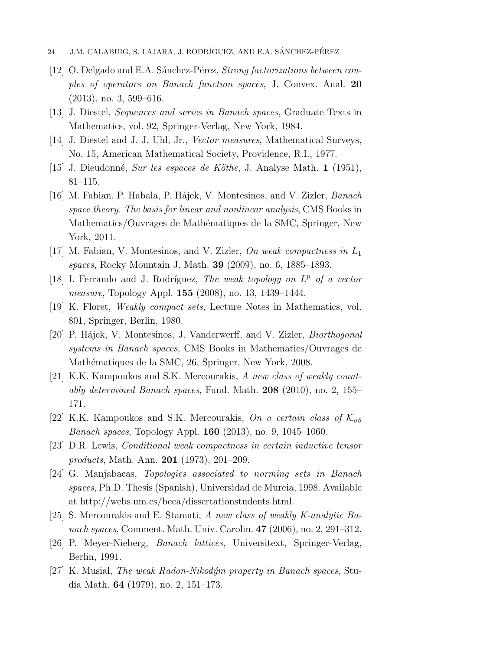- 24 J.M. CALABUIG, S. LAJARA, J. RODRÍGUEZ, AND E.A. SÁNCHEZ-PÉREZ
- $[12]$  O. Delgado and E.A. Sánchez-Pérez, *Strong factorizations between cou*ples of operators on Banach function spaces, J. Convex. Anal. 20 (2013), no. 3, 599–616.
- [13] J. Diestel, Sequences and series in Banach spaces, Graduate Texts in Mathematics, vol. 92, Springer-Verlag, New York, 1984.
- [14] J. Diestel and J. J. Uhl, Jr., Vector measures, Mathematical Surveys, No. 15, American Mathematical Society, Providence, R.I., 1977.
- [15] J. Dieudonné, Sur les espaces de Köthe, J. Analyse Math. 1 (1951), 81–115.
- [16] M. Fabian, P. Habala, P. Hájek, V. Montesinos, and V. Zizler, *Banach* space theory. The basis for linear and nonlinear analysis, CMS Books in Mathematics/Ouvrages de Mathématiques de la SMC, Springer, New York, 2011.
- $[17]$  M. Fabian, V. Montesinos, and V. Zizler, On weak compactness in  $L_1$ spaces, Rocky Mountain J. Math. 39 (2009), no. 6, 1885–1893.
- [18] I. Ferrando and J. Rodríguez, The weak topology on  $L^p$  of a vector measure, Topology Appl. 155 (2008), no. 13, 1439–1444.
- [19] K. Floret, Weakly compact sets, Lecture Notes in Mathematics, vol. 801, Springer, Berlin, 1980.
- [20] P. Hájek, V. Montesinos, J. Vanderwerff, and V. Zizler, *Biorthogonal* systems in Banach spaces, CMS Books in Mathematics/Ouvrages de Mathématiques de la SMC, 26, Springer, New York, 2008.
- [21] K.K. Kampoukos and S.K. Mercourakis, A new class of weakly countably determined Banach spaces, Fund. Math. 208 (2010), no. 2, 155– 171.
- [22] K.K. Kampoukos and S.K. Mercourakis, On a certain class of  $\mathcal{K}_{\sigma\delta}$ Banach spaces, Topology Appl. 160 (2013), no. 9, 1045–1060.
- [23] D.R. Lewis, Conditional weak compactness in certain inductive tensor products, Math. Ann. 201 (1973), 201–209.
- [24] G. Manjabacas, Topologies associated to norming sets in Banach spaces, Ph.D. Thesis (Spanish), Universidad de Murcia, 1998. Available at http://webs.um.es/beca/dissertationstudents.html.
- [25] S. Mercourakis and E. Stamati, A new class of weakly K-analytic Banach spaces, Comment. Math. Univ. Carolin. 47 (2006), no. 2, 291–312.
- [26] P. Meyer-Nieberg, Banach lattices, Universitext, Springer-Verlag, Berlin, 1991.
- [27] K. Musiał, *The weak Radon-Nikodým property in Banach spaces*, Studia Math. 64 (1979), no. 2, 151–173.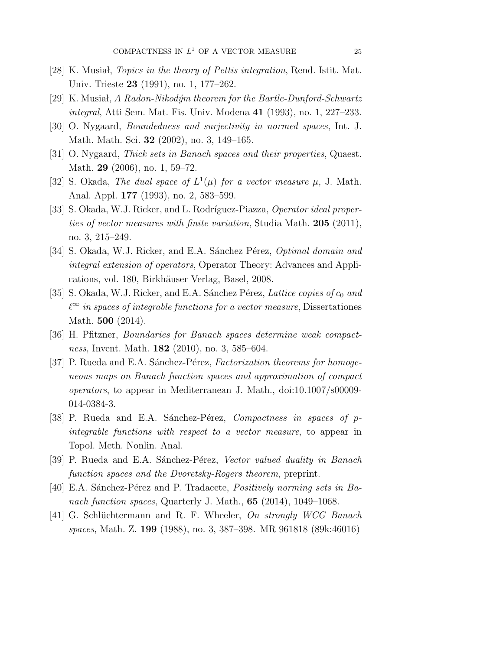- $[28]$  K. Musiah, *Topics in the theory of Pettis integration*, Rend. Istit. Mat. Univ. Trieste 23 (1991), no. 1, 177–262.
- [29] K. Musiał, A Radon-Nikodým theorem for the Bartle-Dunford-Schwartz integral, Atti Sem. Mat. Fis. Univ. Modena 41 (1993), no. 1, 227–233.
- [30] O. Nygaard, Boundedness and surjectivity in normed spaces, Int. J. Math. Math. Sci. 32 (2002), no. 3, 149–165.
- [31] O. Nygaard, Thick sets in Banach spaces and their properties, Quaest. Math. 29 (2006), no. 1, 59–72.
- [32] S. Okada, The dual space of  $L^1(\mu)$  for a vector measure  $\mu$ , J. Math. Anal. Appl. 177 (1993), no. 2, 583–599.
- [33] S. Okada, W.J. Ricker, and L. Rodríguez-Piazza, Operator ideal properties of vector measures with finite variation, Studia Math. 205 (2011), no. 3, 215–249.
- [34] S. Okada, W.J. Ricker, and E.A. Sánchez Pérez, *Optimal domain and* integral extension of operators, Operator Theory: Advances and Applications, vol. 180, Birkhäuser Verlag, Basel, 2008.
- [35] S. Okada, W.J. Ricker, and E.A. Sánchez Pérez, Lattice copies of  $c_0$  and  $\ell^{\infty}$  in spaces of integrable functions for a vector measure, Dissertationes Math. **500** (2014).
- [36] H. Pfitzner, Boundaries for Banach spaces determine weak compactness, Invent. Math. **182** (2010), no. 3, 585–604.
- [37] P. Rueda and E.A. Sánchez-Pérez, Factorization theorems for homogeneous maps on Banach function spaces and approximation of compact operators, to appear in Mediterranean J. Math., doi:10.1007/s00009- 014-0384-3.
- [38] P. Rueda and E.A. Sánchez-Pérez, *Compactness in spaces of p*integrable functions with respect to a vector measure, to appear in Topol. Meth. Nonlin. Anal.
- [39] P. Rueda and E.A. Sánchez-Pérez, Vector valued duality in Banach function spaces and the Dvoretsky-Rogers theorem, preprint.
- [40] E.A. Sánchez-Pérez and P. Tradacete, *Positively norming sets in Ba*nach function spaces, Quarterly J. Math.,  $65$   $(2014)$ ,  $1049-1068$ .
- [41] G. Schlüchtermann and R. F. Wheeler, On strongly WCG Banach spaces, Math. Z. 199 (1988), no. 3, 387–398. MR 961818 (89k:46016)